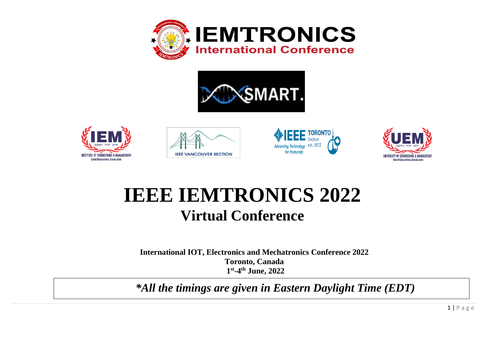











# **IEEE IEMTRONICS 2022 Virtual Conference**

**International IOT, Electronics and Mechatronics Conference 2022 Toronto, Canada 1 st -4 th June, 2022**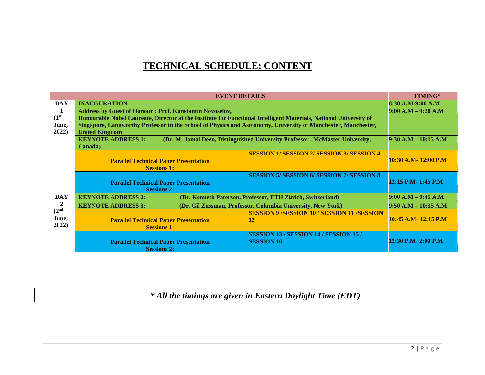# **TECHNICAL SCHEDULE: CONTENT**

|                    | <b>EVENT DETAILS</b>                                                                                              | TIMING*                                                                      |                          |
|--------------------|-------------------------------------------------------------------------------------------------------------------|------------------------------------------------------------------------------|--------------------------|
| <b>DAY</b>         | <b>INAUGURATION</b>                                                                                               | 8:30 A.M-9:00 A.M                                                            |                          |
| -1                 | <b>Address by Guest of Honour: Prof. Konstantin Novoselov,</b>                                                    | $9:00 A.M - 9:20 A.M$                                                        |                          |
| (1 <sup>st</sup> ) | Honourable Nobel Laureate, Director at the Institute for Functional Intelligent Materials, National University of |                                                                              |                          |
| June,              | Singapore, Langworthy Professor in the School of Physics and Astronomy, University of Manchester, Manchester,     |                                                                              |                          |
| 2022)              | <b>United Kingdom</b>                                                                                             |                                                                              |                          |
|                    | <b>KEYNOTE ADDRESS 1:</b>                                                                                         | (Dr. M. Jamal Deen, Distinguished University Professor, McMaster University, | $9:30$ A.M $- 10:15$ A.M |
|                    | Canada)                                                                                                           |                                                                              |                          |
|                    |                                                                                                                   | <b>SESSION 1/ SESSION 2/ SESSION 3/ SESSION 4</b>                            |                          |
|                    | <b>Parallel Technical Paper Presentation</b>                                                                      |                                                                              | $10:30$ A.M- 12:00 P.M   |
|                    | <b>Sessions 1:</b>                                                                                                |                                                                              |                          |
|                    |                                                                                                                   | <b>SESSION 5/ SESSION 6/ SESSION 7/ SESSION 8</b>                            |                          |
|                    | <b>Parallel Technical Paper Presentation</b>                                                                      |                                                                              | 12:15 P.M- 1:45 P.M      |
|                    | <b>Sessions 2:</b>                                                                                                |                                                                              |                          |
| <b>DAY</b>         | <b>KEYNOTE ADDRESS 2:</b>                                                                                         | (Dr. Kenneth Paterson, Professor, ETH Zürich, Switzerland)                   | $9:00$ A.M $-9:45$ A.M   |
| $\overline{2}$     | <b>KEYNOTE ADDRESS 3:</b>                                                                                         | (Dr. Gil Zussman, Professor, Columbia University, New York)                  | $9:50$ A.M $-10:35$ A.M  |
| (2 <sup>nd</sup>   |                                                                                                                   | <b>SESSION 9 /SESSION 10 / SESSION 11 /SESSION</b>                           |                          |
| June,              | <b>Parallel Technical Paper Presentation</b>                                                                      | 12                                                                           | $10:45$ A.M - 12:15 P.M  |
| 2022)              | <b>Sessions 1:</b>                                                                                                |                                                                              |                          |
|                    |                                                                                                                   | <b>SESSION 13 / SESSION 14 / SESSION 15 /</b>                                |                          |
|                    | <b>Parallel Technical Paper Presentation</b>                                                                      | <b>SESSION 16</b>                                                            | 12:30 P.M- 2:00 P.M      |
|                    | <b>Sessions 2:</b>                                                                                                |                                                                              |                          |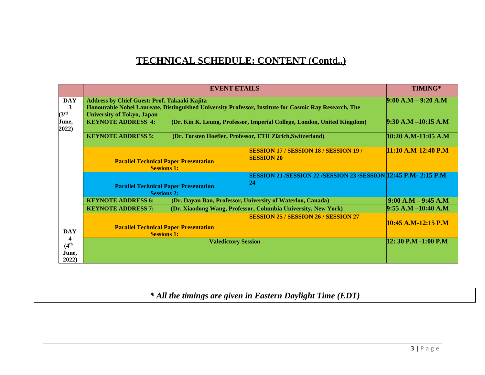### **TECHNICAL SCHEDULE: CONTENT (Contd..)**

|                                                          | <b>EVENT ETAILS</b>                                                                                                                                                                               | TIMING*                                                                |                         |
|----------------------------------------------------------|---------------------------------------------------------------------------------------------------------------------------------------------------------------------------------------------------|------------------------------------------------------------------------|-------------------------|
| <b>DAY</b><br>3<br>3 <sup>rd</sup>                       | <b>Address by Chief Guest: Prof. Takaaki Kajita</b><br>Honourable Nobel Laureate, Distinguished University Professor, Institute for Cosmic Ray Research, The<br><b>University of Tokyo, Japan</b> | $9:00 A.M - 9:20 A.M$                                                  |                         |
| June,<br>2022)                                           | <b>KEYNOTE ADDRESS 4:</b><br>(Dr. Kin K. Leung, Professor, Imperial College, London, United Kingdom)                                                                                              | $9:30$ A.M $-10:15$ A.M                                                |                         |
|                                                          | <b>KEYNOTE ADDRESS 5:</b>                                                                                                                                                                         | (Dr. Torsten Hoefler, Professor, ETH Zürich, Switzerland)              | 10:20 A.M-11:05 A.M     |
|                                                          | <b>Parallel Technical Paper Presentation</b><br><b>Sessions 1:</b>                                                                                                                                | <b>SESSION 17 / SESSION 18 / SESSION 19 /</b><br><b>SESSION 20</b>     | $11:10 A.M-12:40 P.M$   |
|                                                          | <b>Parallel Technical Paper Presentation</b><br><b>Sessions 2:</b>                                                                                                                                | SESSION 21 /SESSION 22 /SESSION 23 /SESSION 12:45 P.M - 2:15 P.M<br>24 |                         |
|                                                          | <b>KEYNOTE ADDRESS 6:</b>                                                                                                                                                                         | (Dr. Dayan Ban, Professor, University of Waterloo, Canada)             | $9:00$ A.M $-$ 9:45 A.M |
|                                                          | <b>KEYNOTE ADDRESS 7:</b>                                                                                                                                                                         | (Dr. Xiaodong Wang, Professor, Columbia University, New York)          | $9:55$ A.M $-10:40$ A.M |
| <b>DAY</b>                                               | <b>Parallel Technical Paper Presentation</b><br><b>Sessions 1:</b>                                                                                                                                | <b>SESSION 25 / SESSION 26 / SESSION 27</b>                            | 10:45 A.M-12:15 P.M     |
| $\boldsymbol{4}$<br>(4 <sup>th</sup> )<br>June,<br>2022) | <b>Valedictory Session</b>                                                                                                                                                                        |                                                                        | 12: 30 P.M -1:00 P.M    |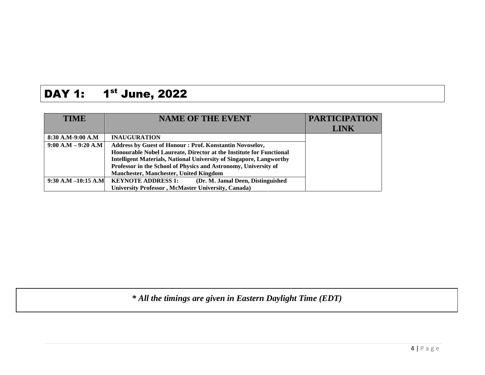# DAY 1: 1st June, 2022

| <b>TIME</b>             | <b>NAME OF THE EVENT</b>                                                   | <b>PARTICIPATION</b> |
|-------------------------|----------------------------------------------------------------------------|----------------------|
|                         |                                                                            | <b>LINK</b>          |
| 8:30 A.M-9:00 A.M       | <b>INAUGURATION</b>                                                        |                      |
| $9:00$ A.M $-9:20$ A.M  | <b>Address by Guest of Honour: Prof. Konstantin Novoselov,</b>             |                      |
|                         | Honourable Nobel Laureate, Director at the Institute for Functional        |                      |
|                         | <b>Intelligent Materials, National University of Singapore, Langworthy</b> |                      |
|                         | Professor in the School of Physics and Astronomy, University of            |                      |
|                         | Manchester, Manchester, United Kingdom                                     |                      |
| $9:30$ A.M $-10:15$ A.M | <b>KEYNOTE ADDRESS 1:</b><br>(Dr. M. Jamal Deen, Distinguished             |                      |
|                         | University Professor, McMaster University, Canada)                         |                      |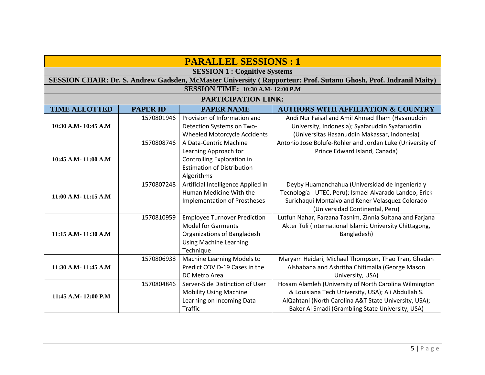| <b>PARALLEL SESSIONS: 1</b>                                                                                      |                                      |                                                                                                                                               |                                                                                                                                                                                                                           |  |  |
|------------------------------------------------------------------------------------------------------------------|--------------------------------------|-----------------------------------------------------------------------------------------------------------------------------------------------|---------------------------------------------------------------------------------------------------------------------------------------------------------------------------------------------------------------------------|--|--|
|                                                                                                                  | <b>SESSION 1 : Cognitive Systems</b> |                                                                                                                                               |                                                                                                                                                                                                                           |  |  |
| SESSION CHAIR: Dr. S. Andrew Gadsden, McMaster University (Rapporteur: Prof. Sutanu Ghosh, Prof. Indranil Maity) |                                      |                                                                                                                                               |                                                                                                                                                                                                                           |  |  |
|                                                                                                                  |                                      | <b>SESSION TIME: 10:30 A.M-12:00 P.M</b>                                                                                                      |                                                                                                                                                                                                                           |  |  |
| PARTICIPATION LINK:                                                                                              |                                      |                                                                                                                                               |                                                                                                                                                                                                                           |  |  |
| <b>TIME ALLOTTED</b><br><b>PAPER NAME</b><br><b>AUTHORS WITH AFFILIATION &amp; COUNTRY</b><br><b>PAPER ID</b>    |                                      |                                                                                                                                               |                                                                                                                                                                                                                           |  |  |
| 10:30 A.M - 10:45 A.M                                                                                            | 1570801946                           | Provision of Information and<br>Detection Systems on Two-<br><b>Wheeled Motorcycle Accidents</b>                                              | Andi Nur Faisal and Amil Ahmad Ilham (Hasanuddin<br>University, Indonesia); Syafaruddin Syafaruddin<br>(Universitas Hasanuddin Makassar, Indonesia)                                                                       |  |  |
| 10:45 A.M-11:00 A.M                                                                                              | 1570808746                           | A Data-Centric Machine<br>Learning Approach for<br>Controlling Exploration in<br><b>Estimation of Distribution</b><br>Algorithms              | Antonio Jose Bolufe-Rohler and Jordan Luke (University of<br>Prince Edward Island, Canada)                                                                                                                                |  |  |
| 11:00 A.M - 11:15 A.M                                                                                            | 1570807248                           | Artificial Intelligence Applied in<br>Human Medicine With the<br><b>Implementation of Prostheses</b>                                          | Deyby Huamanchahua (Universidad de Ingeniería y<br>Tecnología - UTEC, Peru); Ismael Alvarado Landeo, Erick<br>Surichaqui Montalvo and Kener Velasquez Colorado<br>(Universidad Continental, Peru)                         |  |  |
| 11:15 A.M-11:30 A.M                                                                                              | 1570810959                           | <b>Employee Turnover Prediction</b><br><b>Model for Garments</b><br>Organizations of Bangladesh<br><b>Using Machine Learning</b><br>Technique | Lutfun Nahar, Farzana Tasnim, Zinnia Sultana and Farjana<br>Akter Tuli (International Islamic University Chittagong,<br>Bangladesh)                                                                                       |  |  |
| 11:30 A.M-11:45 A.M                                                                                              | 1570806938                           | Machine Learning Models to<br>Predict COVID-19 Cases in the<br>DC Metro Area                                                                  | Maryam Heidari, Michael Thompson, Thao Tran, Ghadah<br>Alshabana and Ashritha Chitimalla (George Mason<br>University, USA)                                                                                                |  |  |
| 11:45 A.M-12:00 P.M                                                                                              | 1570804846                           | Server-Side Distinction of User<br><b>Mobility Using Machine</b><br>Learning on Incoming Data<br><b>Traffic</b>                               | Hosam Alamleh (University of North Carolina Wilmington<br>& Louisiana Tech University, USA); Ali Abdullah S.<br>AlQahtani (North Carolina A&T State University, USA);<br>Baker Al Smadi (Grambling State University, USA) |  |  |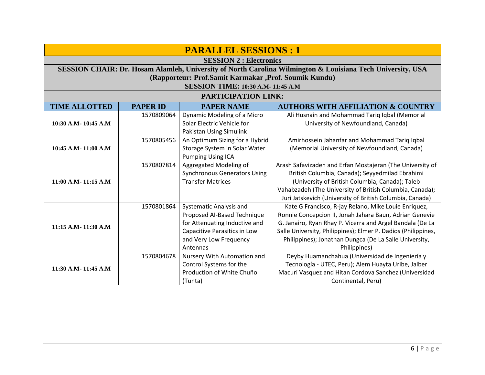| <b>PARALLEL SESSIONS: 1</b>    |                                                                                                            |                                                        |                                                               |  |  |  |
|--------------------------------|------------------------------------------------------------------------------------------------------------|--------------------------------------------------------|---------------------------------------------------------------|--|--|--|
| <b>SESSION 2 : Electronics</b> |                                                                                                            |                                                        |                                                               |  |  |  |
|                                | SESSION CHAIR: Dr. Hosam Alamleh, University of North Carolina Wilmington & Louisiana Tech University, USA |                                                        |                                                               |  |  |  |
|                                |                                                                                                            | (Rapporteur: Prof.Samit Karmakar , Prof. Soumik Kundu) |                                                               |  |  |  |
|                                | <b>SESSION TIME: 10:30 A.M-11:45 A.M</b>                                                                   |                                                        |                                                               |  |  |  |
|                                | PARTICIPATION LINK:                                                                                        |                                                        |                                                               |  |  |  |
| <b>TIME ALLOTTED</b>           | <b>PAPER NAME</b><br><b>AUTHORS WITH AFFILIATION &amp; COUNTRY</b><br><b>PAPER ID</b>                      |                                                        |                                                               |  |  |  |
|                                | 1570809064                                                                                                 | Dynamic Modeling of a Micro                            | Ali Husnain and Mohammad Tariq Iqbal (Memorial                |  |  |  |
| 10:30 A.M-10:45 A.M            |                                                                                                            | Solar Electric Vehicle for                             | University of Newfoundland, Canada)                           |  |  |  |
|                                |                                                                                                            | Pakistan Using Simulink                                |                                                               |  |  |  |
|                                | 1570805456                                                                                                 | An Optimum Sizing for a Hybrid                         | Amirhossein Jahanfar and Mohammad Tariq Iqbal                 |  |  |  |
| 10:45 A.M-11:00 A.M            |                                                                                                            | Storage System in Solar Water                          | (Memorial University of Newfoundland, Canada)                 |  |  |  |
|                                |                                                                                                            | <b>Pumping Using ICA</b>                               |                                                               |  |  |  |
|                                | 1570807814                                                                                                 | Aggregated Modeling of                                 | Arash Safavizadeh and Erfan Mostajeran (The University of     |  |  |  |
|                                |                                                                                                            | <b>Synchronous Generators Using</b>                    | British Columbia, Canada); Seyyedmilad Ebrahimi               |  |  |  |
| 11:00 A.M - 11:15 A.M          |                                                                                                            | <b>Transfer Matrices</b>                               | (University of British Columbia, Canada); Taleb               |  |  |  |
|                                |                                                                                                            |                                                        | Vahabzadeh (The University of British Columbia, Canada);      |  |  |  |
|                                |                                                                                                            |                                                        | Juri Jatskevich (University of British Columbia, Canada)      |  |  |  |
|                                | 1570801864                                                                                                 | Systematic Analysis and                                | Kate G Francisco, R-jay Relano, Mike Louie Enriquez,          |  |  |  |
|                                |                                                                                                            | Proposed AI-Based Technique                            | Ronnie Concepcion II, Jonah Jahara Baun, Adrian Genevie       |  |  |  |
| 11:15 A.M-11:30 A.M            |                                                                                                            | for Attenuating Inductive and                          | G. Janairo, Ryan Rhay P. Vicerra and Argel Bandala (De La     |  |  |  |
|                                |                                                                                                            | Capacitive Parasitics in Low                           | Salle University, Philippines); Elmer P. Dadios (Philippines, |  |  |  |
|                                |                                                                                                            | and Very Low Frequency                                 | Philippines); Jonathan Dungca (De La Salle University,        |  |  |  |
|                                |                                                                                                            | Antennas                                               | Philippines)                                                  |  |  |  |
|                                | 1570804678                                                                                                 | Nursery With Automation and                            | Deyby Huamanchahua (Universidad de Ingeniería y               |  |  |  |
| 11:30 A.M-11:45 A.M            |                                                                                                            | Control Systems for the                                | Tecnología - UTEC, Peru); Alem Huayta Uribe, Jalber           |  |  |  |
|                                |                                                                                                            | Production of White Chuño                              | Macuri Vasquez and Hitan Cordova Sanchez (Universidad         |  |  |  |
|                                |                                                                                                            | (Tunta)                                                | Continental, Peru)                                            |  |  |  |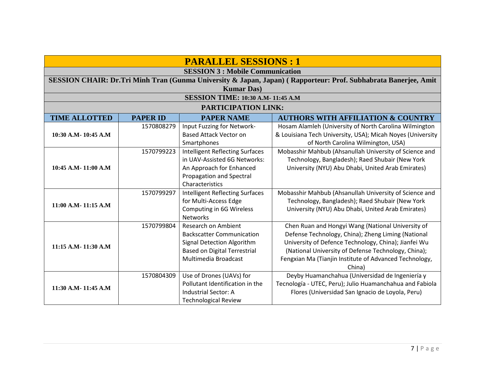| <b>PARALLEL SESSIONS : 1</b> |                                                                                                                |                                        |                                                            |  |  |
|------------------------------|----------------------------------------------------------------------------------------------------------------|----------------------------------------|------------------------------------------------------------|--|--|
|                              | <b>SESSION 3 : Mobile Communication</b>                                                                        |                                        |                                                            |  |  |
|                              | SESSION CHAIR: Dr.Tri Minh Tran (Gunma University & Japan, Japan) (Rapporteur: Prof. Subhabrata Banerjee, Amit |                                        |                                                            |  |  |
|                              |                                                                                                                | <b>Kumar Das</b> )                     |                                                            |  |  |
|                              | <b>SESSION TIME: 10:30 A.M-11:45 A.M</b>                                                                       |                                        |                                                            |  |  |
|                              | PARTICIPATION LINK:                                                                                            |                                        |                                                            |  |  |
| <b>TIME ALLOTTED</b>         | <b>PAPER ID</b>                                                                                                | <b>PAPER NAME</b>                      | <b>AUTHORS WITH AFFILIATION &amp; COUNTRY</b>              |  |  |
|                              | 1570808279                                                                                                     | Input Fuzzing for Network-             | Hosam Alamleh (University of North Carolina Wilmington     |  |  |
| 10:30 A.M - 10:45 A.M        |                                                                                                                | <b>Based Attack Vector on</b>          | & Louisiana Tech University, USA); Micah Noyes (University |  |  |
|                              |                                                                                                                | Smartphones                            | of North Carolina Wilmington, USA)                         |  |  |
|                              | 1570799223                                                                                                     | <b>Intelligent Reflecting Surfaces</b> | Mobasshir Mahbub (Ahsanullah University of Science and     |  |  |
|                              |                                                                                                                | in UAV-Assisted 6G Networks:           | Technology, Bangladesh); Raed Shubair (New York            |  |  |
| $10:45$ A.M- $11:00$ A.M     |                                                                                                                | An Approach for Enhanced               | University (NYU) Abu Dhabi, United Arab Emirates)          |  |  |
|                              |                                                                                                                | Propagation and Spectral               |                                                            |  |  |
|                              |                                                                                                                | Characteristics                        |                                                            |  |  |
|                              | 1570799297                                                                                                     | <b>Intelligent Reflecting Surfaces</b> | Mobasshir Mahbub (Ahsanullah University of Science and     |  |  |
| 11:00 A.M - 11:15 A.M        |                                                                                                                | for Multi-Access Edge                  | Technology, Bangladesh); Raed Shubair (New York            |  |  |
|                              |                                                                                                                | Computing in 6G Wireless               | University (NYU) Abu Dhabi, United Arab Emirates)          |  |  |
|                              |                                                                                                                | <b>Networks</b>                        |                                                            |  |  |
|                              | 1570799804                                                                                                     | Research on Ambient                    | Chen Ruan and Hongyi Wang (National University of          |  |  |
|                              |                                                                                                                | <b>Backscatter Communication</b>       | Defense Technology, China); Zheng Liming (National         |  |  |
| 11:15 A.M-11:30 A.M          |                                                                                                                | Signal Detection Algorithm             | University of Defence Technology, China); Jianfei Wu       |  |  |
|                              |                                                                                                                | <b>Based on Digital Terrestrial</b>    | (National University of Defense Technology, China);        |  |  |
|                              |                                                                                                                | Multimedia Broadcast                   | Fengxian Ma (Tianjin Institute of Advanced Technology,     |  |  |
|                              |                                                                                                                |                                        | China)                                                     |  |  |
|                              | 1570804309                                                                                                     | Use of Drones (UAVs) for               | Deyby Huamanchahua (Universidad de Ingeniería y            |  |  |
| 11:30 A.M-11:45 A.M          |                                                                                                                | Pollutant Identification in the        | Tecnología - UTEC, Peru); Julio Huamanchahua and Fabiola   |  |  |
|                              |                                                                                                                | <b>Industrial Sector: A</b>            | Flores (Universidad San Ignacio de Loyola, Peru)           |  |  |
|                              |                                                                                                                | <b>Technological Review</b>            |                                                            |  |  |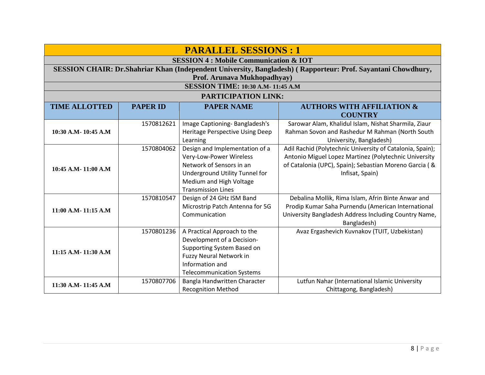| <b>PARALLEL SESSIONS : 1</b>                                                                                            |                                                                                                              |                                                                                                                                                                                 |                                                                                                                                                                                                  |  |  |  |
|-------------------------------------------------------------------------------------------------------------------------|--------------------------------------------------------------------------------------------------------------|---------------------------------------------------------------------------------------------------------------------------------------------------------------------------------|--------------------------------------------------------------------------------------------------------------------------------------------------------------------------------------------------|--|--|--|
|                                                                                                                         | <b>SESSION 4: Mobile Communication &amp; IOT</b>                                                             |                                                                                                                                                                                 |                                                                                                                                                                                                  |  |  |  |
|                                                                                                                         | SESSION CHAIR: Dr.Shahriar Khan (Independent University, Bangladesh) (Rapporteur: Prof. Sayantani Chowdhury, |                                                                                                                                                                                 |                                                                                                                                                                                                  |  |  |  |
|                                                                                                                         | Prof. Arunava Mukhopadhyay)                                                                                  |                                                                                                                                                                                 |                                                                                                                                                                                                  |  |  |  |
|                                                                                                                         | <b>SESSION TIME: 10:30 A.M-11:45 A.M</b>                                                                     |                                                                                                                                                                                 |                                                                                                                                                                                                  |  |  |  |
|                                                                                                                         | PARTICIPATION LINK:                                                                                          |                                                                                                                                                                                 |                                                                                                                                                                                                  |  |  |  |
| <b>TIME ALLOTTED</b><br><b>PAPER NAME</b><br><b>AUTHORS WITH AFFILIATION &amp;</b><br><b>PAPER ID</b><br><b>COUNTRY</b> |                                                                                                              |                                                                                                                                                                                 |                                                                                                                                                                                                  |  |  |  |
| 10:30 A.M-10:45 A.M                                                                                                     | 1570812621                                                                                                   | Image Captioning-Bangladesh's<br>Heritage Perspective Using Deep                                                                                                                | Sarowar Alam, Khalidul Islam, Nishat Sharmila, Ziaur<br>Rahman Sovon and Rashedur M Rahman (North South                                                                                          |  |  |  |
|                                                                                                                         |                                                                                                              | Learning                                                                                                                                                                        | University, Bangladesh)                                                                                                                                                                          |  |  |  |
| 10:45 A.M-11:00 A.M                                                                                                     | 1570804062                                                                                                   | Design and Implementation of a<br>Very-Low-Power Wireless<br>Network of Sensors in an<br>Underground Utility Tunnel for<br>Medium and High Voltage<br><b>Transmission Lines</b> | Adil Rachid (Polytechnic University of Catalonia, Spain);<br>Antonio Miguel Lopez Martinez (Polytechnic University<br>of Catalonia (UPC), Spain); Sebastian Moreno Garcia ( &<br>Infisat, Spain) |  |  |  |
| 11:00 A.M-11:15 A.M                                                                                                     | 1570810547                                                                                                   | Design of 24 GHz ISM Band<br>Microstrip Patch Antenna for 5G<br>Communication                                                                                                   | Debalina Mollik, Rima Islam, Afrin Binte Anwar and<br>Prodip Kumar Saha Purnendu (American International<br>University Bangladesh Address Including Country Name,<br>Bangladesh)                 |  |  |  |
| 11:15 A.M-11:30 A.M                                                                                                     | 1570801236                                                                                                   | A Practical Approach to the<br>Development of a Decision-<br>Supporting System Based on<br>Fuzzy Neural Network in<br>Information and<br><b>Telecommunication Systems</b>       | Avaz Ergashevich Kuvnakov (TUIT, Uzbekistan)                                                                                                                                                     |  |  |  |
| 11:30 A.M-11:45 A.M                                                                                                     | 1570807706                                                                                                   | Bangla Handwritten Character<br><b>Recognition Method</b>                                                                                                                       | Lutfun Nahar (International Islamic University<br>Chittagong, Bangladesh)                                                                                                                        |  |  |  |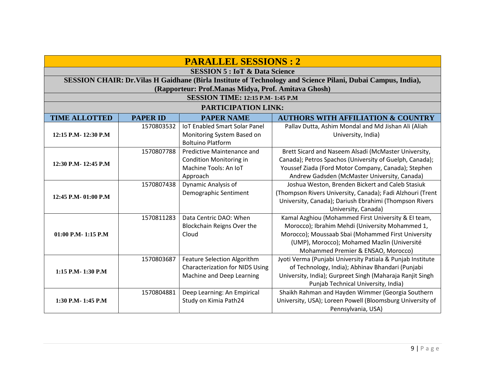| <b>PARALLEL SESSIONS : 2</b>                                                                                 |                 |                                                     |                                                                                                       |  |  |
|--------------------------------------------------------------------------------------------------------------|-----------------|-----------------------------------------------------|-------------------------------------------------------------------------------------------------------|--|--|
| <b>SESSION 5: IoT &amp; Data Science</b>                                                                     |                 |                                                     |                                                                                                       |  |  |
| SESSION CHAIR: Dr. Vilas H Gaidhane (Birla Institute of Technology and Science Pilani, Dubai Campus, India), |                 |                                                     |                                                                                                       |  |  |
|                                                                                                              |                 | (Rapporteur: Prof.Manas Midya, Prof. Amitava Ghosh) |                                                                                                       |  |  |
|                                                                                                              |                 | <b>SESSION TIME: 12:15 P.M-1:45 P.M</b>             |                                                                                                       |  |  |
| PARTICIPATION LINK:                                                                                          |                 |                                                     |                                                                                                       |  |  |
| <b>TIME ALLOTTED</b>                                                                                         | <b>PAPER ID</b> | <b>PAPER NAME</b>                                   | <b>AUTHORS WITH AFFILIATION &amp; COUNTRY</b>                                                         |  |  |
|                                                                                                              | 1570803532      | <b>IoT Enabled Smart Solar Panel</b>                | Pallav Dutta, Ashim Mondal and Md Jishan Ali (Aliah                                                   |  |  |
| 12:15 P.M-12:30 P.M                                                                                          |                 | Monitoring System Based on                          | University, India)                                                                                    |  |  |
|                                                                                                              |                 | <b>Boltuino Platform</b>                            |                                                                                                       |  |  |
|                                                                                                              | 1570807788      | Predictive Maintenance and                          | Brett Sicard and Naseem Alsadi (McMaster University,                                                  |  |  |
| 12:30 P.M-12:45 P.M                                                                                          |                 | <b>Condition Monitoring in</b>                      | Canada); Petros Spachos (University of Guelph, Canada);                                               |  |  |
|                                                                                                              |                 | Machine Tools: An IoT                               | Youssef Ziada (Ford Motor Company, Canada); Stephen                                                   |  |  |
|                                                                                                              |                 | Approach                                            | Andrew Gadsden (McMaster University, Canada)                                                          |  |  |
|                                                                                                              | 1570807438      | Dynamic Analysis of                                 | Joshua Weston, Brenden Bickert and Caleb Stasiuk                                                      |  |  |
| 12:45 P.M-01:00 P.M                                                                                          |                 | Demographic Sentiment                               | (Thompson Rivers University, Canada); Fadi Alzhouri (Trent                                            |  |  |
|                                                                                                              |                 |                                                     | University, Canada); Dariush Ebrahimi (Thompson Rivers                                                |  |  |
|                                                                                                              |                 |                                                     | University, Canada)                                                                                   |  |  |
|                                                                                                              | 1570811283      | Data Centric DAO: When                              | Kamal Azghiou (Mohammed First University & EI team,                                                   |  |  |
| $01:00$ P.M- 1:15 P.M                                                                                        |                 | Blockchain Reigns Over the<br>Cloud                 | Morocco); Ibrahim Mehdi (University Mohammed 1,<br>Morocco); Moussaab Sbai (Mohammed First University |  |  |
|                                                                                                              |                 |                                                     | (UMP), Morocco); Mohamed Mazlin (Université                                                           |  |  |
|                                                                                                              |                 |                                                     | Mohammed Premier & ENSAO, Morocco)                                                                    |  |  |
|                                                                                                              | 1570803687      | Feature Selection Algorithm                         | Jyoti Verma (Punjabi University Patiala & Punjab Institute                                            |  |  |
|                                                                                                              |                 | <b>Characterization for NIDS Using</b>              | of Technology, India); Abhinav Bhandari (Punjabi                                                      |  |  |
| 1:15 P.M-1:30 P.M                                                                                            |                 | Machine and Deep Learning                           | University, India); Gurpreet Singh (Maharaja Ranjit Singh                                             |  |  |
|                                                                                                              |                 |                                                     | Punjab Technical University, India)                                                                   |  |  |
|                                                                                                              | 1570804881      | Deep Learning: An Empirical                         | Shaikh Rahman and Hayden Wimmer (Georgia Southern                                                     |  |  |
| 1:30 P.M-1:45 P.M                                                                                            |                 | Study on Kimia Path24                               | University, USA); Loreen Powell (Bloomsburg University of                                             |  |  |
|                                                                                                              |                 |                                                     | Pennsylvania, USA)                                                                                    |  |  |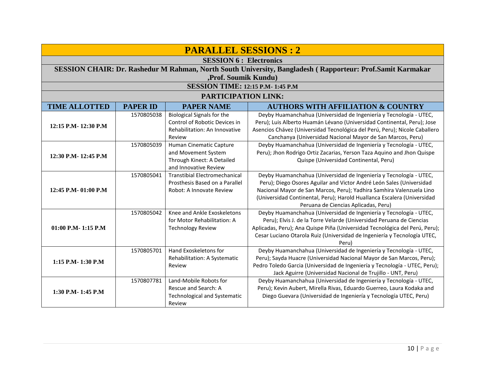| <b>PARALLEL SESSIONS : 2</b>                                                                              |                                         |                                                            |                                                                                                                                              |  |  |  |
|-----------------------------------------------------------------------------------------------------------|-----------------------------------------|------------------------------------------------------------|----------------------------------------------------------------------------------------------------------------------------------------------|--|--|--|
| <b>SESSION 6 : Electronics</b>                                                                            |                                         |                                                            |                                                                                                                                              |  |  |  |
| SESSION CHAIR: Dr. Rashedur M Rahman, North South University, Bangladesh (Rapporteur: Prof.Samit Karmakar |                                         |                                                            |                                                                                                                                              |  |  |  |
|                                                                                                           | ,Prof. Soumik Kundu)                    |                                                            |                                                                                                                                              |  |  |  |
|                                                                                                           | <b>SESSION TIME: 12:15 P.M-1:45 P.M</b> |                                                            |                                                                                                                                              |  |  |  |
| <b>PARTICIPATION LINK:</b>                                                                                |                                         |                                                            |                                                                                                                                              |  |  |  |
| <b>TIME ALLOTTED</b>                                                                                      | <b>PAPER ID</b>                         | <b>PAPER NAME</b>                                          | <b>AUTHORS WITH AFFILIATION &amp; COUNTRY</b>                                                                                                |  |  |  |
|                                                                                                           | 1570805038                              | <b>Biological Signals for the</b>                          | Deyby Huamanchahua (Universidad de Ingeniería y Tecnología - UTEC,                                                                           |  |  |  |
| 12:15 P.M - 12:30 P.M                                                                                     |                                         | Control of Robotic Devices in                              | Peru); Luis Alberto Huamán Lévano (Universidad Continental, Peru); Jose                                                                      |  |  |  |
|                                                                                                           |                                         | Rehabilitation: An Innovative                              | Asencios Chávez (Universidad Tecnológica del Perú, Peru); Nicole Caballero                                                                   |  |  |  |
|                                                                                                           |                                         | Review                                                     | Canchanya (Universidad Nacional Mayor de San Marcos, Peru)                                                                                   |  |  |  |
|                                                                                                           | 1570805039                              | Human Cinematic Capture                                    | Deyby Huamanchahua (Universidad de Ingeniería y Tecnología - UTEC,                                                                           |  |  |  |
| 12:30 P.M - 12:45 P.M                                                                                     |                                         | and Movement System                                        | Peru); Jhon Rodrigo Ortiz Zacarias, Yerson Taza Aquino and Jhon Quispe                                                                       |  |  |  |
|                                                                                                           |                                         | Through Kinect: A Detailed                                 | Quispe (Universidad Continental, Peru)                                                                                                       |  |  |  |
|                                                                                                           |                                         | and Innovative Review                                      |                                                                                                                                              |  |  |  |
|                                                                                                           | 1570805041                              | <b>Transtibial Electromechanical</b>                       | Deyby Huamanchahua (Universidad de Ingeniería y Tecnología - UTEC,                                                                           |  |  |  |
| 12:45 P.M - 01:00 P.M                                                                                     |                                         | Prosthesis Based on a Parallel<br>Robot: A Innovate Review | Peru); Diego Osores Aguilar and Victor André León Sales (Universidad<br>Nacional Mayor de San Marcos, Peru); Yadhira Samhira Valenzuela Lino |  |  |  |
|                                                                                                           |                                         |                                                            | (Universidad Continental, Peru); Harold Huallanca Escalera (Universidad                                                                      |  |  |  |
|                                                                                                           |                                         |                                                            | Peruana de Ciencias Aplicadas, Peru)                                                                                                         |  |  |  |
|                                                                                                           | 1570805042                              | Knee and Ankle Exoskeletons                                | Deyby Huamanchahua (Universidad de Ingeniería y Tecnología - UTEC,                                                                           |  |  |  |
|                                                                                                           |                                         | for Motor Rehabilitation: A                                | Peru); Elvis J. de la Torre Velarde (Universidad Peruana de Ciencias                                                                         |  |  |  |
| $01:00$ P.M- 1:15 P.M                                                                                     |                                         | <b>Technology Review</b>                                   | Aplicadas, Peru); Ana Quispe Piña (Universidad Tecnológica del Perú, Peru);                                                                  |  |  |  |
|                                                                                                           |                                         |                                                            | Cesar Luciano Otarola Ruiz (Universidad de Ingeniería y Tecnología UTEC,                                                                     |  |  |  |
|                                                                                                           |                                         |                                                            | Peru)                                                                                                                                        |  |  |  |
|                                                                                                           | 1570805701                              | Hand Exoskeletons for                                      | Deyby Huamanchahua (Universidad de Ingeniería y Tecnología - UTEC,                                                                           |  |  |  |
| 1:15 P.M-1:30 P.M                                                                                         |                                         | Rehabilitation: A Systematic                               | Peru); Sayda Huacre (Universidad Nacional Mayor de San Marcos, Peru);                                                                        |  |  |  |
|                                                                                                           |                                         | Review                                                     | Pedro Toledo Garcia (Universidad de Ingeniería y Tecnología - UTEC, Peru);                                                                   |  |  |  |
|                                                                                                           |                                         |                                                            | Jack Aguirre (Universidad Nacional de Trujillo - UNT, Peru)                                                                                  |  |  |  |
|                                                                                                           | 1570807781                              | Land-Mobile Robots for                                     | Deyby Huamanchahua (Universidad de Ingeniería y Tecnología - UTEC,                                                                           |  |  |  |
| 1:30 P.M - 1:45 P.M                                                                                       |                                         | Rescue and Search: A                                       | Peru); Kevin Aubert, Mirella Rivas, Eduardo Guerreo, Laura Kodaka and                                                                        |  |  |  |
|                                                                                                           |                                         | <b>Technological and Systematic</b>                        | Diego Guevara (Universidad de Ingeniería y Tecnología UTEC, Peru)                                                                            |  |  |  |
|                                                                                                           |                                         | Review                                                     |                                                                                                                                              |  |  |  |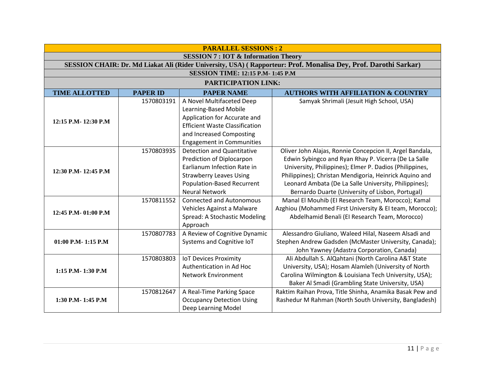| <b>PARALLEL SESSIONS: 2</b>                                                                                     |                                         |                                                                                                                   |                                                                                                                                                                                                                           |  |  |
|-----------------------------------------------------------------------------------------------------------------|-----------------------------------------|-------------------------------------------------------------------------------------------------------------------|---------------------------------------------------------------------------------------------------------------------------------------------------------------------------------------------------------------------------|--|--|
| <b>SESSION 7: IOT &amp; Information Theory</b>                                                                  |                                         |                                                                                                                   |                                                                                                                                                                                                                           |  |  |
| SESSION CHAIR: Dr. Md Liakat Ali (Rider University, USA) (Rapporteur: Prof. Monalisa Dey, Prof. Darothi Sarkar) |                                         |                                                                                                                   |                                                                                                                                                                                                                           |  |  |
|                                                                                                                 | <b>SESSION TIME: 12:15 P.M-1:45 P.M</b> |                                                                                                                   |                                                                                                                                                                                                                           |  |  |
| PARTICIPATION LINK:                                                                                             |                                         |                                                                                                                   |                                                                                                                                                                                                                           |  |  |
| <b>TIME ALLOTTED</b>                                                                                            | <b>PAPER ID</b>                         | <b>PAPER NAME</b>                                                                                                 | <b>AUTHORS WITH AFFILIATION &amp; COUNTRY</b>                                                                                                                                                                             |  |  |
|                                                                                                                 | 1570803191                              | A Novel Multifaceted Deep<br>Learning-Based Mobile                                                                | Samyak Shrimali (Jesuit High School, USA)                                                                                                                                                                                 |  |  |
| 12:15 P.M - 12:30 P.M                                                                                           |                                         | Application for Accurate and<br><b>Efficient Waste Classification</b><br>and Increased Composting                 |                                                                                                                                                                                                                           |  |  |
|                                                                                                                 |                                         | <b>Engagement in Communities</b>                                                                                  |                                                                                                                                                                                                                           |  |  |
|                                                                                                                 | 1570803935                              | <b>Detection and Quantitative</b><br>Prediction of Diplocarpon                                                    | Oliver John Alajas, Ronnie Concepcion II, Argel Bandala,<br>Edwin Sybingco and Ryan Rhay P. Vicerra (De La Salle                                                                                                          |  |  |
| 12:30 P.M-12:45 P.M                                                                                             |                                         | Earlianum Infection Rate in<br><b>Strawberry Leaves Using</b>                                                     | University, Philippines); Elmer P. Dadios (Philippines,<br>Philippines); Christan Mendigoria, Heinrick Aquino and                                                                                                         |  |  |
|                                                                                                                 |                                         | <b>Population-Based Recurrent</b><br><b>Neural Network</b>                                                        | Leonard Ambata (De La Salle University, Philippines);<br>Bernardo Duarte (University of Lisbon, Portugal)                                                                                                                 |  |  |
| 12:45 P.M - 01:00 P.M                                                                                           | 1570811552                              | <b>Connected and Autonomous</b><br>Vehicles Against a Malware<br><b>Spread: A Stochastic Modeling</b><br>Approach | Manal El Mouhib (El Research Team, Morocco); Kamal<br>Azghiou (Mohammed First University & EI team, Morocco);<br>Abdelhamid Benali (El Research Team, Morocco)                                                            |  |  |
| $01:00$ P.M- 1:15 P.M                                                                                           | 1570807783                              | A Review of Cognitive Dynamic<br>Systems and Cognitive IoT                                                        | Alessandro Giuliano, Waleed Hilal, Naseem Alsadi and<br>Stephen Andrew Gadsden (McMaster University, Canada);<br>John Yawney (Adastra Corporation, Canada)                                                                |  |  |
| 1:15 P.M-1:30 P.M                                                                                               | 1570803803                              | <b>IoT Devices Proximity</b><br>Authentication in Ad Hoc<br><b>Network Environment</b>                            | Ali Abdullah S. AlQahtani (North Carolina A&T State<br>University, USA); Hosam Alamleh (University of North<br>Carolina Wilmington & Louisiana Tech University, USA);<br>Baker Al Smadi (Grambling State University, USA) |  |  |
| 1:30 P.M-1:45 P.M                                                                                               | 1570812647                              | A Real-Time Parking Space<br><b>Occupancy Detection Using</b><br>Deep Learning Model                              | Raktim Raihan Prova, Title Shinha, Anamika Basak Pew and<br>Rashedur M Rahman (North South University, Bangladesh)                                                                                                        |  |  |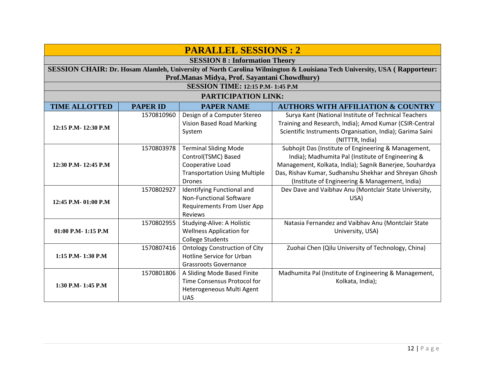| <b>PARALLEL SESSIONS : 2</b>                                                                                            |                                              |                                      |                                                           |  |  |  |
|-------------------------------------------------------------------------------------------------------------------------|----------------------------------------------|--------------------------------------|-----------------------------------------------------------|--|--|--|
|                                                                                                                         | <b>SESSION 8 : Information Theory</b>        |                                      |                                                           |  |  |  |
| SESSION CHAIR: Dr. Hosam Alamleh, University of North Carolina Wilmington & Louisiana Tech University, USA (Rapporteur: |                                              |                                      |                                                           |  |  |  |
|                                                                                                                         | Prof.Manas Midya, Prof. Sayantani Chowdhury) |                                      |                                                           |  |  |  |
| <b>SESSION TIME: 12:15 P.M-1:45 P.M</b>                                                                                 |                                              |                                      |                                                           |  |  |  |
| PARTICIPATION LINK:                                                                                                     |                                              |                                      |                                                           |  |  |  |
| <b>TIME ALLOTTED</b>                                                                                                    | <b>PAPER ID</b>                              | <b>PAPER NAME</b>                    | <b>AUTHORS WITH AFFILIATION &amp; COUNTRY</b>             |  |  |  |
|                                                                                                                         | 1570810960                                   | Design of a Computer Stereo          | Surya Kant (National Institute of Technical Teachers      |  |  |  |
| 12:15 P.M - 12:30 P.M                                                                                                   |                                              | <b>Vision Based Road Marking</b>     | Training and Research, India); Amod Kumar (CSIR-Central   |  |  |  |
|                                                                                                                         |                                              | System                               | Scientific Instruments Organisation, India); Garima Saini |  |  |  |
|                                                                                                                         |                                              |                                      | (NITTTR, India)                                           |  |  |  |
|                                                                                                                         | 1570803978                                   | <b>Terminal Sliding Mode</b>         | Subhojit Das (Institute of Engineering & Management,      |  |  |  |
|                                                                                                                         |                                              | Control(TSMC) Based                  | India); Madhumita Pal (Institute of Engineering &         |  |  |  |
| 12:30 P.M - 12:45 P.M                                                                                                   |                                              | Cooperative Load                     | Management, Kolkata, India); Sagnik Banerjee, Souhardya   |  |  |  |
|                                                                                                                         |                                              | <b>Transportation Using Multiple</b> | Das, Rishav Kumar, Sudhanshu Shekhar and Shreyan Ghosh    |  |  |  |
|                                                                                                                         |                                              | <b>Drones</b>                        | (Institute of Engineering & Management, India)            |  |  |  |
|                                                                                                                         | 1570802927                                   | Identifying Functional and           | Dev Dave and Vaibhav Anu (Montclair State University,     |  |  |  |
| 12:45 P.M-01:00 P.M                                                                                                     |                                              | <b>Non-Functional Software</b>       | USA)                                                      |  |  |  |
|                                                                                                                         |                                              | <b>Requirements From User App</b>    |                                                           |  |  |  |
|                                                                                                                         |                                              | Reviews                              |                                                           |  |  |  |
|                                                                                                                         | 1570802955                                   | Studying-Alive: A Holistic           | Natasia Fernandez and Vaibhav Anu (Montclair State        |  |  |  |
| $01:00$ P.M- 1:15 P.M                                                                                                   |                                              | <b>Wellness Application for</b>      | University, USA)                                          |  |  |  |
|                                                                                                                         |                                              | <b>College Students</b>              |                                                           |  |  |  |
|                                                                                                                         | 1570807416                                   | <b>Ontology Construction of City</b> | Zuohai Chen (Qilu University of Technology, China)        |  |  |  |
| 1:15 P.M - 1:30 P.M                                                                                                     |                                              | Hotline Service for Urban            |                                                           |  |  |  |
|                                                                                                                         |                                              | <b>Grassroots Governance</b>         |                                                           |  |  |  |
|                                                                                                                         | 1570801806                                   | A Sliding Mode Based Finite          | Madhumita Pal (Institute of Engineering & Management,     |  |  |  |
| 1:30 P.M - 1:45 P.M                                                                                                     |                                              | Time Consensus Protocol for          | Kolkata, India);                                          |  |  |  |
|                                                                                                                         |                                              | Heterogeneous Multi Agent            |                                                           |  |  |  |
|                                                                                                                         |                                              | <b>UAS</b>                           |                                                           |  |  |  |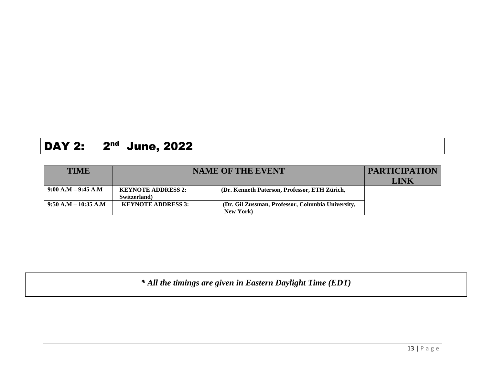#### **DAY 2:** 2<sup>nd</sup> June, 2022

| <b>TIME</b>                            | <b>NAME OF THE EVENT</b>  |                                                   | <b>PARTICIPATION</b> |
|----------------------------------------|---------------------------|---------------------------------------------------|----------------------|
|                                        |                           |                                                   | <b>LINK</b>          |
| $9:00$ A.M $-9:45$ A.M                 | <b>KEYNOTE ADDRESS 2:</b> | (Dr. Kenneth Paterson, Professor, ETH Zürich,     |                      |
|                                        | Switzerland)              |                                                   |                      |
| $9:50 \text{ A.M} - 10:35 \text{ A.M}$ | <b>KEYNOTE ADDRESS 3:</b> | (Dr. Gil Zussman, Professor, Columbia University, |                      |
|                                        |                           | <b>New York</b> )                                 |                      |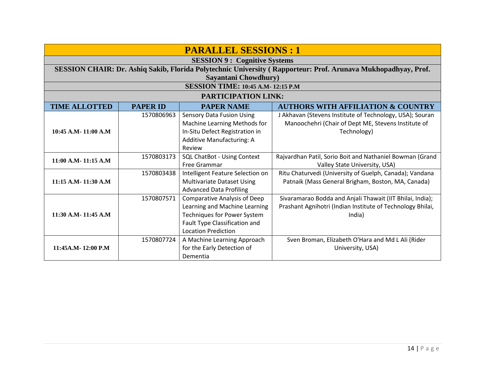| <b>PARALLEL SESSIONS : 1</b> |                 |                                          |                                                                                                               |  |
|------------------------------|-----------------|------------------------------------------|---------------------------------------------------------------------------------------------------------------|--|
|                              |                 |                                          |                                                                                                               |  |
|                              |                 | <b>SESSION 9 : Cognitive Systems</b>     |                                                                                                               |  |
|                              |                 |                                          | SESSION CHAIR: Dr. Ashiq Sakib, Florida Polytechnic University (Rapporteur: Prof. Arunava Mukhopadhyay, Prof. |  |
|                              |                 | Sayantani Chowdhury)                     |                                                                                                               |  |
|                              |                 | <b>SESSION TIME: 10:45 A.M-12:15 P.M</b> |                                                                                                               |  |
|                              |                 | <b>PARTICIPATION LINK:</b>               |                                                                                                               |  |
| <b>TIME ALLOTTED</b>         | <b>PAPER ID</b> | <b>PAPER NAME</b>                        | <b>AUTHORS WITH AFFILIATION &amp; COUNTRY</b>                                                                 |  |
|                              | 1570806963      | <b>Sensory Data Fusion Using</b>         | J Akhavan (Stevens Institute of Technology, USA); Souran                                                      |  |
|                              |                 | Machine Learning Methods for             | Manoochehri (Chair of Dept ME, Stevens Institute of                                                           |  |
| 10:45 A.M - 11:00 A.M        |                 | In-Situ Defect Registration in           | Technology)                                                                                                   |  |
|                              |                 | <b>Additive Manufacturing: A</b>         |                                                                                                               |  |
|                              |                 | Review                                   |                                                                                                               |  |
| 11:00 A.M-11:15 A.M          | 1570803173      | SQL ChatBot - Using Context              | Rajvardhan Patil, Sorio Boit and Nathaniel Bowman (Grand                                                      |  |
|                              |                 | Free Grammar                             | Valley State University, USA)                                                                                 |  |
|                              | 1570803438      | Intelligent Feature Selection on         | Ritu Chaturvedi (University of Guelph, Canada); Vandana                                                       |  |
| 11:15 A.M- 11:30 A.M         |                 | <b>Multivariate Dataset Using</b>        | Patnaik (Mass General Brigham, Boston, MA, Canada)                                                            |  |
|                              |                 | <b>Advanced Data Profiling</b>           |                                                                                                               |  |
|                              | 1570807571      | <b>Comparative Analysis of Deep</b>      | Sivaramarao Bodda and Anjali Thawait (IIT Bhilai, India);                                                     |  |
|                              |                 | Learning and Machine Learning            | Prashant Agnihotri (Indian Institute of Technology Bhilai,                                                    |  |
| 11:30 A.M - 11:45 A.M        |                 | Techniques for Power System              | India)                                                                                                        |  |
|                              |                 | Fault Type Classification and            |                                                                                                               |  |
|                              |                 | <b>Location Prediction</b>               |                                                                                                               |  |
|                              | 1570807724      | A Machine Learning Approach              | Sven Broman, Elizabeth O'Hara and Md L Ali (Rider                                                             |  |
| 11:45A.M-12:00 P.M           |                 | for the Early Detection of               | University, USA)                                                                                              |  |
|                              |                 | Dementia                                 |                                                                                                               |  |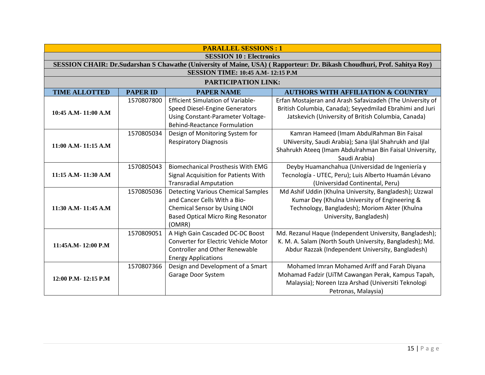| <b>PARALLEL SESSIONS: 1</b>                                                                                             |                 |                                             |                                                           |  |
|-------------------------------------------------------------------------------------------------------------------------|-----------------|---------------------------------------------|-----------------------------------------------------------|--|
| <b>SESSION 10 : Electronics</b>                                                                                         |                 |                                             |                                                           |  |
| SESSION CHAIR: Dr.Sudarshan S Chawathe (University of Maine, USA) (Rapporteur: Dr. Bikash Choudhuri, Prof. Sahitya Roy) |                 |                                             |                                                           |  |
|                                                                                                                         |                 | <b>SESSION TIME: 10:45 A.M-12:15 P.M</b>    |                                                           |  |
|                                                                                                                         |                 | PARTICIPATION LINK:                         |                                                           |  |
| <b>TIME ALLOTTED</b>                                                                                                    | <b>PAPER ID</b> | <b>PAPER NAME</b>                           | <b>AUTHORS WITH AFFILIATION &amp; COUNTRY</b>             |  |
|                                                                                                                         | 1570807800      | <b>Efficient Simulation of Variable-</b>    | Erfan Mostajeran and Arash Safavizadeh (The University of |  |
| 10:45 A.M-11:00 A.M                                                                                                     |                 | Speed Diesel-Engine Generators              | British Columbia, Canada); Seyyedmilad Ebrahimi and Juri  |  |
|                                                                                                                         |                 | Using Constant-Parameter Voltage-           | Jatskevich (University of British Columbia, Canada)       |  |
|                                                                                                                         |                 | <b>Behind-Reactance Formulation</b>         |                                                           |  |
|                                                                                                                         | 1570805034      | Design of Monitoring System for             | Kamran Hameed (Imam AbdulRahman Bin Faisal                |  |
| 11:00 A.M-11:15 A.M                                                                                                     |                 | <b>Respiratory Diagnosis</b>                | UNiversity, Saudi Arabia); Sana Ijlal Shahrukh and Ijlal  |  |
|                                                                                                                         |                 |                                             | Shahrukh Ateeq (Imam Abdulrahman Bin Faisal University,   |  |
|                                                                                                                         |                 |                                             | Saudi Arabia)                                             |  |
|                                                                                                                         | 1570805043      | <b>Biomechanical Prosthesis With EMG</b>    | Deyby Huamanchahua (Universidad de Ingeniería y           |  |
| 11:15 A.M-11:30 A.M                                                                                                     |                 | Signal Acquisition for Patients With        | Tecnología - UTEC, Peru); Luis Alberto Huamán Lévano      |  |
|                                                                                                                         |                 | <b>Transradial Amputation</b>               | (Universidad Continental, Peru)                           |  |
|                                                                                                                         | 1570805036      | <b>Detecting Various Chemical Samples</b>   | Md Ashif Uddin (Khulna University, Bangladesh); Uzzwal    |  |
|                                                                                                                         |                 | and Cancer Cells With a Bio-                | Kumar Dey (Khulna University of Engineering &             |  |
| 11:30 A.M - 11:45 A.M                                                                                                   |                 | <b>Chemical Sensor by Using LNOI</b>        | Technology, Bangladesh); Moriom Akter (Khulna             |  |
|                                                                                                                         |                 | <b>Based Optical Micro Ring Resonator</b>   | University, Bangladesh)                                   |  |
|                                                                                                                         |                 | (OMRR)                                      |                                                           |  |
|                                                                                                                         | 1570809051      | A High Gain Cascaded DC-DC Boost            | Md. Rezanul Haque (Independent University, Bangladesh);   |  |
| 11:45A.M-12:00 P.M                                                                                                      |                 | <b>Converter for Electric Vehicle Motor</b> | K. M. A. Salam (North South University, Bangladesh); Md.  |  |
|                                                                                                                         |                 | <b>Controller and Other Renewable</b>       | Abdur Razzak (Independent University, Bangladesh)         |  |
|                                                                                                                         |                 | <b>Energy Applications</b>                  |                                                           |  |
|                                                                                                                         | 1570807366      | Design and Development of a Smart           | Mohamed Imran Mohamed Ariff and Farah Diyana              |  |
| 12:00 P.M-12:15 P.M                                                                                                     |                 | Garage Door System                          | Mohamad Fadzir (UiTM Cawangan Perak, Kampus Tapah,        |  |
|                                                                                                                         |                 |                                             | Malaysia); Noreen Izza Arshad (Universiti Teknologi       |  |
|                                                                                                                         |                 |                                             | Petronas, Malaysia)                                       |  |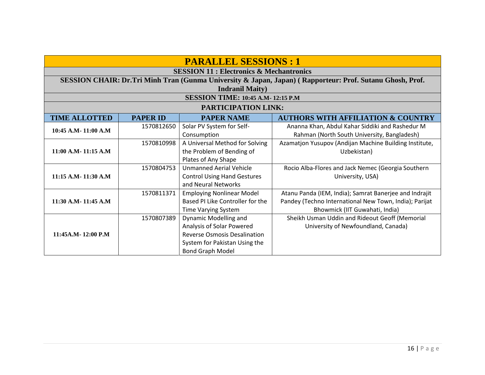| <b>PARALLEL SESSIONS : 1</b> |                                                    |                                          |                                                                                                          |  |
|------------------------------|----------------------------------------------------|------------------------------------------|----------------------------------------------------------------------------------------------------------|--|
|                              | <b>SESSION 11: Electronics &amp; Mechantronics</b> |                                          |                                                                                                          |  |
|                              |                                                    |                                          | SESSION CHAIR: Dr.Tri Minh Tran (Gunma University & Japan, Japan) (Rapporteur: Prof. Sutanu Ghosh, Prof. |  |
|                              |                                                    | <b>Indranil Maity</b> )                  |                                                                                                          |  |
|                              |                                                    | <b>SESSION TIME: 10:45 A.M-12:15 P.M</b> |                                                                                                          |  |
|                              |                                                    | <b>PARTICIPATION LINK:</b>               |                                                                                                          |  |
| <b>TIME ALLOTTED</b>         | <b>PAPER ID</b>                                    | <b>PAPER NAME</b>                        | <b>AUTHORS WITH AFFILIATION &amp; COUNTRY</b>                                                            |  |
| 10:45 A.M-11:00 A.M          | 1570812650                                         | Solar PV System for Self-                | Ananna Khan, Abdul Kahar Siddiki and Rashedur M                                                          |  |
|                              |                                                    | Consumption                              | Rahman (North South University, Bangladesh)                                                              |  |
|                              | 1570810998                                         | A Universal Method for Solving           | Azamatjon Yusupov (Andijan Machine Building Institute,                                                   |  |
| 11:00 A.M - 11:15 A.M        |                                                    | the Problem of Bending of                | Uzbekistan)                                                                                              |  |
|                              |                                                    | Plates of Any Shape                      |                                                                                                          |  |
|                              | 1570804753                                         | Unmanned Aerial Vehicle                  | Rocio Alba-Flores and Jack Nemec (Georgia Southern                                                       |  |
| 11:15 A.M- 11:30 A.M         |                                                    | <b>Control Using Hand Gestures</b>       | University, USA)                                                                                         |  |
|                              |                                                    | and Neural Networks                      |                                                                                                          |  |
|                              | 1570811371                                         | <b>Employing Nonlinear Model</b>         | Atanu Panda (IEM, India); Samrat Banerjee and Indrajit                                                   |  |
| 11:30 A.M-11:45 A.M          |                                                    | Based PI Like Controller for the         | Pandey (Techno International New Town, India); Parijat                                                   |  |
|                              |                                                    | <b>Time Varying System</b>               | Bhowmick (IIT Guwahati, India)                                                                           |  |
|                              | 1570807389                                         | Dynamic Modelling and                    | Sheikh Usman Uddin and Rideout Geoff (Memorial                                                           |  |
|                              |                                                    | Analysis of Solar Powered                | University of Newfoundland, Canada)                                                                      |  |
| 11:45A.M - 12:00 P.M         |                                                    | <b>Reverse Osmosis Desalination</b>      |                                                                                                          |  |
|                              |                                                    | System for Pakistan Using the            |                                                                                                          |  |
|                              |                                                    | <b>Bond Graph Model</b>                  |                                                                                                          |  |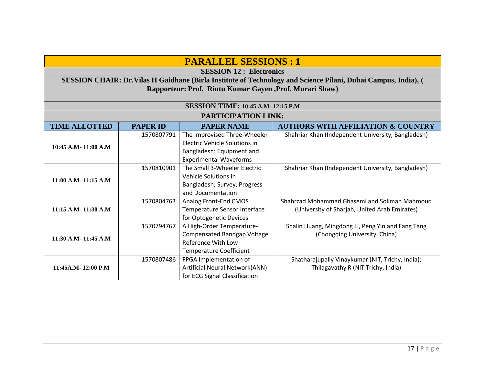| PARALLEL SESSIONS : 1           |                 |                                                         |                                                                                                                |
|---------------------------------|-----------------|---------------------------------------------------------|----------------------------------------------------------------------------------------------------------------|
| <b>SESSION 12 : Electronics</b> |                 |                                                         |                                                                                                                |
|                                 |                 |                                                         | SESSION CHAIR: Dr. Vilas H Gaidhane (Birla Institute of Technology and Science Pilani, Dubai Campus, India), ( |
|                                 |                 | Rapporteur: Prof. Rintu Kumar Gayen, Prof. Murari Shaw) |                                                                                                                |
|                                 |                 |                                                         |                                                                                                                |
|                                 |                 | <b>SESSION TIME: 10:45 A.M-12:15 P.M</b>                |                                                                                                                |
|                                 |                 | PARTICIPATION LINK:                                     |                                                                                                                |
| <b>TIME ALLOTTED</b>            | <b>PAPER ID</b> | <b>PAPER NAME</b>                                       | <b>AUTHORS WITH AFFILIATION &amp; COUNTRY</b>                                                                  |
|                                 | 1570807791      | The Improvised Three-Wheeler                            | Shahriar Khan (Independent University, Bangladesh)                                                             |
| 10:45 A.M-11:00 A.M             |                 | Electric Vehicle Solutions in                           |                                                                                                                |
|                                 |                 | Bangladesh: Equipment and                               |                                                                                                                |
|                                 |                 | <b>Experimental Waveforms</b>                           |                                                                                                                |
|                                 | 1570810901      | The Small 3-Wheeler Electric                            | Shahriar Khan (Independent University, Bangladesh)                                                             |
| 11:00 A.M - 11:15 A.M           |                 | Vehicle Solutions in                                    |                                                                                                                |
|                                 |                 | Bangladesh; Survey, Progress                            |                                                                                                                |
|                                 |                 | and Documentation                                       |                                                                                                                |
|                                 | 1570804763      | Analog Front-End CMOS                                   | Shahrzad Mohammad Ghasemi and Soliman Mahmoud                                                                  |
| 11:15 A.M-11:30 A.M             |                 | Temperature Sensor Interface                            | (University of Sharjah, United Arab Emirates)                                                                  |
|                                 |                 | for Optogenetic Devices                                 |                                                                                                                |
|                                 | 1570794767      | A High-Order Temperature-                               | Shalin Huang, Mingdong Li, Peng Yin and Fang Tang                                                              |
| 11:30 A.M-11:45 A.M             |                 | <b>Compensated Bandgap Voltage</b>                      | (Chongqing University, China)                                                                                  |
|                                 |                 | <b>Reference With Low</b>                               |                                                                                                                |
|                                 |                 | <b>Temperature Coefficient</b>                          |                                                                                                                |
|                                 | 1570807486      | FPGA Implementation of                                  | Shatharajupally Vinaykumar (NIT, Trichy, India);                                                               |
| 11:45A.M-12:00 P.M              |                 | Artificial Neural Network(ANN)                          | Thilagavathy R (NIT Trichy, India)                                                                             |
|                                 |                 | for ECG Signal Classification                           |                                                                                                                |

**PARALLEL** SESSIONS TO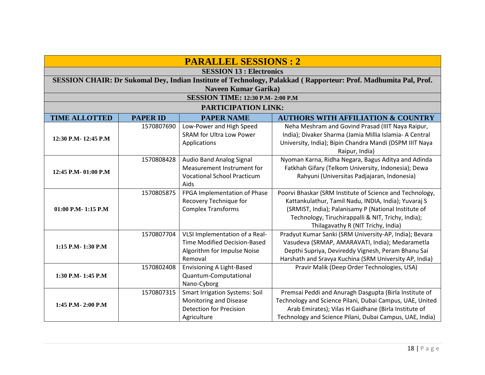| <b>PARALLEL SESSIONS : 2</b>    |                 |                                                      |                                                                                                                    |
|---------------------------------|-----------------|------------------------------------------------------|--------------------------------------------------------------------------------------------------------------------|
| <b>SESSION 13 : Electronics</b> |                 |                                                      |                                                                                                                    |
|                                 |                 |                                                      | SESSION CHAIR: Dr Sukomal Dey, Indian Institute of Technology, Palakkad (Rapporteur: Prof. Madhumita Pal, Prof.    |
|                                 |                 | <b>Naveen Kumar Garika</b> )                         |                                                                                                                    |
|                                 |                 | <b>SESSION TIME: 12:30 P.M - 2:00 P.M</b>            |                                                                                                                    |
|                                 |                 | PARTICIPATION LINK:                                  |                                                                                                                    |
| <b>TIME ALLOTTED</b>            | <b>PAPER ID</b> | <b>PAPER NAME</b>                                    | <b>AUTHORS WITH AFFILIATION &amp; COUNTRY</b>                                                                      |
|                                 | 1570807690      | Low-Power and High Speed                             | Neha Meshram and Govind Prasad (IIIT Naya Raipur,                                                                  |
| 12:30 P.M-12:45 P.M             |                 | <b>SRAM for Ultra Low Power</b>                      | India); Divaker Sharma (Jamia Millia Islamia- A Central                                                            |
|                                 |                 | Applications                                         | University, India); Bipin Chandra Mandi (DSPM IIIT Naya                                                            |
|                                 |                 |                                                      | Raipur, India)                                                                                                     |
|                                 | 1570808428      | <b>Audio Band Analog Signal</b>                      | Nyoman Karna, Ridha Negara, Bagus Aditya and Adinda                                                                |
| 12:45 P.M-01:00 P.M             |                 | Measurement Instrument for                           | Fatkhah Gifary (Telkom University, Indonesia); Dewa                                                                |
|                                 |                 | <b>Vocational School Practicum</b>                   | Rahyuni (Universitas Padjajaran, Indonesia)                                                                        |
|                                 |                 | Aids                                                 |                                                                                                                    |
|                                 | 1570805875      | FPGA Implementation of Phase                         | Poorvi Bhaskar (SRM Institute of Science and Technology,                                                           |
|                                 |                 | Recovery Technique for                               | Kattankulathur, Tamil Nadu, INDIA, India); Yuvaraj S                                                               |
| $01:00$ P.M- 1:15 P.M           |                 | <b>Complex Transforms</b>                            | (SRMIST, India); Palanisamy P (National Institute of                                                               |
|                                 |                 |                                                      | Technology, Tiruchirappalli & NIT, Trichy, India);                                                                 |
|                                 |                 |                                                      | Thilagavathy R (NIT Trichy, India)                                                                                 |
|                                 | 1570807704      | VLSI Implementation of a Real-                       | Pradyut Kumar Sanki (SRM University-AP, India); Bevara                                                             |
| 1:15 P.M-1:30 P.M               |                 | <b>Time Modified Decision-Based</b>                  | Vasudeva (SRMAP, AMARAVATI, India); Medarametla                                                                    |
|                                 |                 | Algorithm for Impulse Noise                          | Depthi Supriya, Devireddy Vignesh, Peram Bhanu Sai                                                                 |
|                                 | 1570802408      | Removal<br><b>Envisioning A Light-Based</b>          | Harshath and Sravya Kuchina (SRM University AP, India)<br>Pravir Malik (Deep Order Technologies, USA)              |
|                                 |                 |                                                      |                                                                                                                    |
| 1:30 P.M-1:45 P.M               |                 | Quantum-Computational                                |                                                                                                                    |
|                                 | 1570807315      | Nano-Cyborg<br><b>Smart Irrigation Systems: Soil</b> |                                                                                                                    |
|                                 |                 | Monitoring and Disease                               | Premsai Peddi and Anuragh Dasgupta (Birla Institute of<br>Technology and Science Pilani, Dubai Campus, UAE, United |
| 1:45 P.M-2:00 P.M               |                 | <b>Detection for Precision</b>                       | Arab Emirates); Vilas H Gaidhane (Birla Institute of                                                               |
|                                 |                 | Agriculture                                          | Technology and Science Pilani, Dubai Campus, UAE, India)                                                           |
|                                 |                 |                                                      |                                                                                                                    |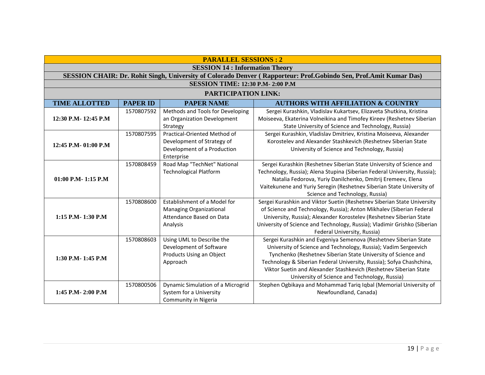| <b>PARALLEL SESSIONS: 2</b>                                                                                       |                 |                                         |                                                                           |
|-------------------------------------------------------------------------------------------------------------------|-----------------|-----------------------------------------|---------------------------------------------------------------------------|
| <b>SESSION 14 : Information Theory</b>                                                                            |                 |                                         |                                                                           |
| SESSION CHAIR: Dr. Rohit Singh, University of Colorado Denver (Rapporteur: Prof.Gobindo Sen, Prof.Amit Kumar Das) |                 |                                         |                                                                           |
|                                                                                                                   |                 | <b>SESSION TIME: 12:30 P.M-2:00 P.M</b> |                                                                           |
|                                                                                                                   |                 | <b>PARTICIPATION LINK:</b>              |                                                                           |
| <b>TIME ALLOTTED</b>                                                                                              | <b>PAPER ID</b> | <b>PAPER NAME</b>                       | <b>AUTHORS WITH AFFILIATION &amp; COUNTRY</b>                             |
|                                                                                                                   | 1570807592      | Methods and Tools for Developing        | Sergei Kurashkin, Vladislav Kukartsev, Elizaveta Shutkina, Kristina       |
| 12:30 P.M - 12:45 P.M                                                                                             |                 | an Organization Development             | Moiseeva, Ekaterina Volneikina and Timofey Kireev (Reshetnev Siberian     |
|                                                                                                                   |                 | Strategy                                | State University of Science and Technology, Russia)                       |
|                                                                                                                   | 1570807595      | Practical-Oriented Method of            | Sergei Kurashkin, Vladislav Dmitriev, Kristina Moiseeva, Alexander        |
| 12:45 P.M-01:00 P.M                                                                                               |                 | Development of Strategy of              | Korostelev and Alexander Stashkevich (Reshetnev Siberian State            |
|                                                                                                                   |                 | Development of a Production             | University of Science and Technology, Russia)                             |
|                                                                                                                   |                 | Enterprise                              |                                                                           |
|                                                                                                                   | 1570808459      | Road Map "TechNet" National             | Sergei Kurashkin (Reshetnev Siberian State University of Science and      |
|                                                                                                                   |                 | <b>Technological Platform</b>           | Technology, Russia); Alena Stupina (Siberian Federal University, Russia); |
| $01:00$ P.M- 1:15 P.M                                                                                             |                 |                                         | Natalia Fedorova, Yuriy Danilchenko, Dmitrij Eremeev, Elena               |
|                                                                                                                   |                 |                                         | Vaitekunene and Yuriy Seregin (Reshetnev Siberian State University of     |
|                                                                                                                   |                 |                                         | Science and Technology, Russia)                                           |
|                                                                                                                   | 1570808600      | Establishment of a Model for            | Sergei Kurashkin and Viktor Suetin (Reshetnev Siberian State University   |
|                                                                                                                   |                 | Managing Organizational                 | of Science and Technology, Russia); Anton Mikhalev (Siberian Federal      |
| 1:15 P.M-1:30 P.M                                                                                                 |                 | Attendance Based on Data                | University, Russia); Alexander Korostelev (Reshetnev Siberian State       |
|                                                                                                                   |                 | Analysis                                | University of Science and Technology, Russia); Vladimir Grishko (Siberian |
|                                                                                                                   |                 |                                         | Federal University, Russia)                                               |
|                                                                                                                   | 1570808603      | Using UML to Describe the               | Sergei Kurashkin and Evgeniya Semenova (Reshetnev Siberian State          |
|                                                                                                                   |                 | Development of Software                 | University of Science and Technology, Russia); Vadim Sergeevich           |
| 1:30 P.M - 1:45 P.M                                                                                               |                 | Products Using an Object                | Tynchenko (Reshetnev Siberian State University of Science and             |
|                                                                                                                   |                 | Approach                                | Technology & Siberian Federal University, Russia); Sofya Chashchina,      |
|                                                                                                                   |                 |                                         | Viktor Suetin and Alexander Stashkevich (Reshetnev Siberian State         |
|                                                                                                                   |                 |                                         | University of Science and Technology, Russia)                             |
|                                                                                                                   | 1570800506      | Dynamic Simulation of a Microgrid       | Stephen Ogbikaya and Mohammad Tariq Iqbal (Memorial University of         |
| 1:45 P.M-2:00 P.M                                                                                                 |                 | System for a University                 | Newfoundland, Canada)                                                     |
|                                                                                                                   |                 | Community in Nigeria                    |                                                                           |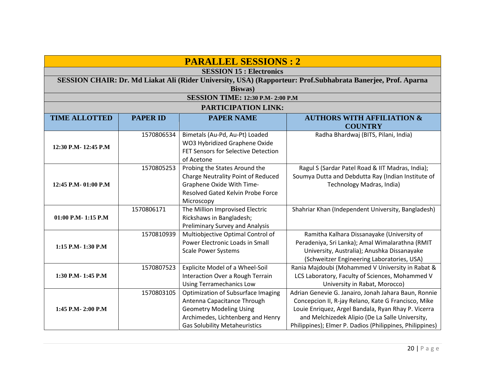| <b>PARALLEL SESSIONS : 2</b>    |                 |                                                   |                                                                                                              |
|---------------------------------|-----------------|---------------------------------------------------|--------------------------------------------------------------------------------------------------------------|
| <b>SESSION 15 : Electronics</b> |                 |                                                   |                                                                                                              |
|                                 |                 |                                                   | SESSION CHAIR: Dr. Md Liakat Ali (Rider University, USA) (Rapporteur: Prof.Subhabrata Banerjee, Prof. Aparna |
|                                 |                 | Biswas)                                           |                                                                                                              |
|                                 |                 | <b>SESSION TIME: 12:30 P.M-2:00 P.M</b>           |                                                                                                              |
|                                 |                 | PARTICIPATION LINK:                               |                                                                                                              |
| <b>TIME ALLOTTED</b>            | <b>PAPER ID</b> | <b>PAPER NAME</b>                                 | <b>AUTHORS WITH AFFILIATION &amp;</b>                                                                        |
|                                 |                 |                                                   | <b>COUNTRY</b>                                                                                               |
|                                 | 1570806534      | Bimetals (Au-Pd, Au-Pt) Loaded                    | Radha Bhardwaj (BITS, Pilani, India)                                                                         |
| 12:30 P.M-12:45 P.M             |                 | WO3 Hybridized Graphene Oxide                     |                                                                                                              |
|                                 |                 | FET Sensors for Selective Detection<br>of Acetone |                                                                                                              |
|                                 | 1570805253      | Probing the States Around the                     | Ragul S (Sardar Patel Road & IIT Madras, India);                                                             |
|                                 |                 | Charge Neutrality Point of Reduced                | Soumya Dutta and Debdutta Ray (Indian Institute of                                                           |
| 12:45 P.M-01:00 P.M             |                 | Graphene Oxide With Time-                         | Technology Madras, India)                                                                                    |
|                                 |                 | <b>Resolved Gated Kelvin Probe Force</b>          |                                                                                                              |
|                                 |                 | Microscopy                                        |                                                                                                              |
|                                 | 1570806171      | The Million Improvised Electric                   | Shahriar Khan (Independent University, Bangladesh)                                                           |
| 01:00 P.M-1:15 P.M              |                 | Rickshaws in Bangladesh;                          |                                                                                                              |
|                                 |                 | <b>Preliminary Survey and Analysis</b>            |                                                                                                              |
|                                 | 1570810939      | Multiobjective Optimal Control of                 | Ramitha Kalhara Dissanayake (University of                                                                   |
| 1:15 P.M-1:30 P.M               |                 | Power Electronic Loads in Small                   | Peradeniya, Sri Lanka); Amal Wimalarathna (RMIT                                                              |
|                                 |                 | <b>Scale Power Systems</b>                        | University, Australia); Anushka Dissanayake                                                                  |
|                                 | 1570807523      | Explicite Model of a Wheel-Soil                   | (Schweitzer Engineering Laboratories, USA)<br>Rania Majdoubi (Mohammed V University in Rabat &               |
| 1:30 P.M-1:45 P.M               |                 | Interaction Over a Rough Terrain                  | LCS Laboratory, Faculty of Sciences, Mohammed V                                                              |
|                                 |                 | <b>Using Terramechanics Low</b>                   | University in Rabat, Morocco)                                                                                |
|                                 | 1570803105      | Optimization of Subsurface Imaging                | Adrian Genevie G. Janairo, Jonah Jahara Baun, Ronnie                                                         |
|                                 |                 | Antenna Capacitance Through                       | Concepcion II, R-jay Relano, Kate G Francisco, Mike                                                          |
| 1:45 P.M-2:00 P.M               |                 | <b>Geometry Modeling Using</b>                    | Louie Enriquez, Argel Bandala, Ryan Rhay P. Vicerra                                                          |
|                                 |                 | Archimedes, Lichtenberg and Henry                 | and Melchizedek Alipio (De La Salle University,                                                              |
|                                 |                 | <b>Gas Solubility Metaheuristics</b>              | Philippines); Elmer P. Dadios (Philippines, Philippines)                                                     |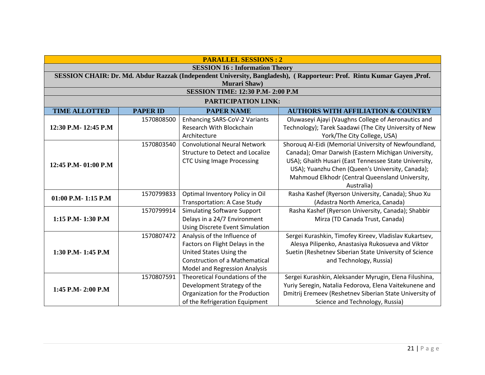| <b>PARALLEL SESSIONS: 2</b>                                                                                           |                 |                                         |                                                         |
|-----------------------------------------------------------------------------------------------------------------------|-----------------|-----------------------------------------|---------------------------------------------------------|
| <b>SESSION 16 : Information Theory</b>                                                                                |                 |                                         |                                                         |
| SESSION CHAIR: Dr. Md. Abdur Razzak (Independent University, Bangladesh), (Rapporteur: Prof. Rintu Kumar Gayen, Prof. |                 |                                         |                                                         |
|                                                                                                                       |                 | <b>Murari Shaw</b> )                    |                                                         |
|                                                                                                                       |                 | <b>SESSION TIME: 12:30 P.M-2:00 P.M</b> |                                                         |
|                                                                                                                       |                 | PARTICIPATION LINK:                     |                                                         |
| <b>TIME ALLOTTED</b>                                                                                                  | <b>PAPER ID</b> | <b>PAPER NAME</b>                       | <b>AUTHORS WITH AFFILIATION &amp; COUNTRY</b>           |
|                                                                                                                       | 1570808500      | <b>Enhancing SARS-CoV-2 Variants</b>    | Oluwaseyi Ajayi (Vaughns College of Aeronautics and     |
| 12:30 P.M-12:45 P.M                                                                                                   |                 | <b>Research With Blockchain</b>         | Technology); Tarek Saadawi (The City University of New  |
|                                                                                                                       |                 | Architecture                            | York/The City College, USA)                             |
|                                                                                                                       | 1570803540      | <b>Convolutional Neural Network</b>     | Shorouq Al-Eidi (Memorial University of Newfoundland,   |
|                                                                                                                       |                 | Structure to Detect and Localize        | Canada); Omar Darwish (Eastern Michigan University,     |
| 12:45 P.M-01:00 P.M                                                                                                   |                 | <b>CTC Using Image Processing</b>       | USA); Ghaith Husari (East Tennessee State University,   |
|                                                                                                                       |                 |                                         | USA); Yuanzhu Chen (Queen's University, Canada);        |
|                                                                                                                       |                 |                                         | Mahmoud Elkhodr (Central Queensland University,         |
|                                                                                                                       |                 |                                         | Australia)                                              |
| 01:00 P.M-1:15 P.M                                                                                                    | 1570799833      | Optimal Inventory Policy in Oil         | Rasha Kashef (Ryerson University, Canada); Shuo Xu      |
|                                                                                                                       |                 | Transportation: A Case Study            | (Adastra North America, Canada)                         |
|                                                                                                                       | 1570799914      | <b>Simulating Software Support</b>      | Rasha Kashef (Ryerson University, Canada); Shabbir      |
| 1:15 P.M-1:30 P.M                                                                                                     |                 | Delays in a 24/7 Environment            | Mirza (TD Canada Trust, Canada)                         |
|                                                                                                                       |                 | <b>Using Discrete Event Simulation</b>  |                                                         |
|                                                                                                                       | 1570807472      | Analysis of the Influence of            | Sergei Kurashkin, Timofey Kireev, Vladislav Kukartsev,  |
|                                                                                                                       |                 | Factors on Flight Delays in the         | Alesya Pilipenko, Anastasiya Rukosueva and Viktor       |
| 1:30 P.M-1:45 P.M                                                                                                     |                 | United States Using the                 | Suetin (Reshetnev Siberian State University of Science  |
|                                                                                                                       |                 | <b>Construction of a Mathematical</b>   | and Technology, Russia)                                 |
|                                                                                                                       |                 | Model and Regression Analysis           |                                                         |
|                                                                                                                       | 1570807591      | Theoretical Foundations of the          | Sergei Kurashkin, Aleksander Myrugin, Elena Filushina,  |
| 1:45 P.M-2:00 P.M                                                                                                     |                 | Development Strategy of the             | Yuriy Seregin, Natalia Fedorova, Elena Vaitekunene and  |
|                                                                                                                       |                 | Organization for the Production         | Dmitrij Eremeev (Reshetnev Siberian State University of |
|                                                                                                                       |                 | of the Refrigeration Equipment          | Science and Technology, Russia)                         |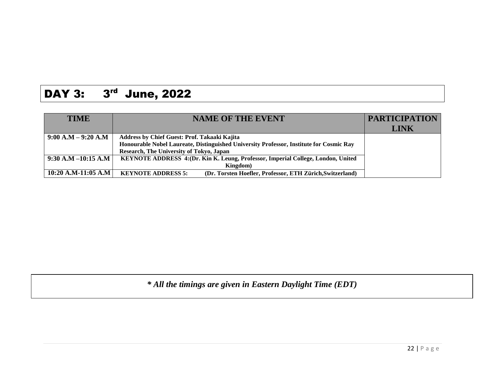### **DAY 3:** 3rd June, 2022

| <b>TIME</b>             | <b>NAME OF THE EVENT</b>                                                                | <b>PARTICIPATION</b> |
|-------------------------|-----------------------------------------------------------------------------------------|----------------------|
|                         |                                                                                         | <b>LINK</b>          |
| $9:00 A.M - 9:20 A.M$   | Address by Chief Guest: Prof. Takaaki Kajita                                            |                      |
|                         | Honourable Nobel Laureate, Distinguished University Professor, Institute for Cosmic Ray |                      |
|                         | Research, The University of Tokyo, Japan                                                |                      |
| $9:30$ A.M $-10:15$ A.M | KEYNOTE ADDRESS 4: (Dr. Kin K. Leung, Professor, Imperial College, London, United       |                      |
|                         | Kingdom)                                                                                |                      |
| $10:20$ A.M-11:05 A.M   | <b>KEYNOTE ADDRESS 5:</b><br>(Dr. Torsten Hoefler, Professor, ETH Zürich, Switzerland)  |                      |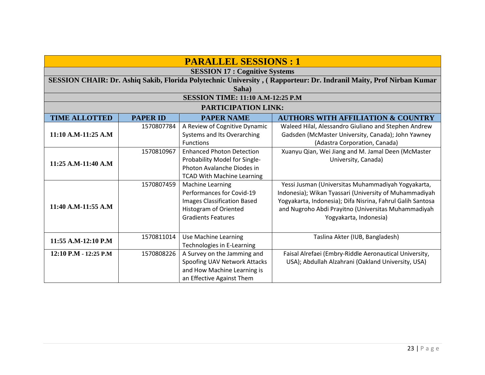| <b>PARALLEL SESSIONS : 1</b>          |                 |                                          |                                                                                                                    |
|---------------------------------------|-----------------|------------------------------------------|--------------------------------------------------------------------------------------------------------------------|
| <b>SESSION 17 : Cognitive Systems</b> |                 |                                          |                                                                                                                    |
|                                       |                 |                                          | SESSION CHAIR: Dr. Ashiq Sakib, Florida Polytechnic University, (Rapporteur: Dr. Indranil Maity, Prof Nirban Kumar |
|                                       |                 | Saha)                                    |                                                                                                                    |
|                                       |                 | <b>SESSION TIME: 11:10 A.M-12:25 P.M</b> |                                                                                                                    |
|                                       |                 | <b>PARTICIPATION LINK:</b>               |                                                                                                                    |
| <b>TIME ALLOTTED</b>                  | <b>PAPER ID</b> | <b>PAPER NAME</b>                        | <b>AUTHORS WITH AFFILIATION &amp; COUNTRY</b>                                                                      |
|                                       | 1570807784      | A Review of Cognitive Dynamic            | Waleed Hilal, Alessandro Giuliano and Stephen Andrew                                                               |
| 11:10 A.M-11:25 A.M                   |                 | Systems and Its Overarching              | Gadsden (McMaster University, Canada); John Yawney                                                                 |
|                                       |                 | <b>Functions</b>                         | (Adastra Corporation, Canada)                                                                                      |
|                                       | 1570810967      | <b>Enhanced Photon Detection</b>         | Xuanyu Qian, Wei Jiang and M. Jamal Deen (McMaster                                                                 |
| 11:25 A.M-11:40 A.M                   |                 | Probability Model for Single-            | University, Canada)                                                                                                |
|                                       |                 | Photon Avalanche Diodes in               |                                                                                                                    |
|                                       |                 | <b>TCAD With Machine Learning</b>        |                                                                                                                    |
|                                       | 1570807459      | <b>Machine Learning</b>                  | Yessi Jusman (Universitas Muhammadiyah Yogyakarta,                                                                 |
|                                       |                 | Performances for Covid-19                | Indonesia); Wikan Tyassari (University of Muhammadiyah                                                             |
|                                       |                 | <b>Images Classification Based</b>       | Yogyakarta, Indonesia); Difa Nisrina, Fahrul Galih Santosa                                                         |
| 11:40 A.M-11:55 A.M                   |                 | Histogram of Oriented                    | and Nugroho Abdi Prayitno (Universitas Muhammadiyah                                                                |
|                                       |                 | <b>Gradients Features</b>                | Yogyakarta, Indonesia)                                                                                             |
|                                       |                 |                                          |                                                                                                                    |
|                                       | 1570811014      | <b>Use Machine Learning</b>              | Taslina Akter (IUB, Bangladesh)                                                                                    |
| 11:55 A.M-12:10 P.M                   |                 | Technologies in E-Learning               |                                                                                                                    |
| 12:10 P.M - 12:25 P.M                 | 1570808226      | A Survey on the Jamming and              | Faisal Alrefaei (Embry-Riddle Aeronautical University,                                                             |
|                                       |                 | Spoofing UAV Network Attacks             | USA); Abdullah Alzahrani (Oakland University, USA)                                                                 |
|                                       |                 | and How Machine Learning is              |                                                                                                                    |
|                                       |                 | an Effective Against Them                |                                                                                                                    |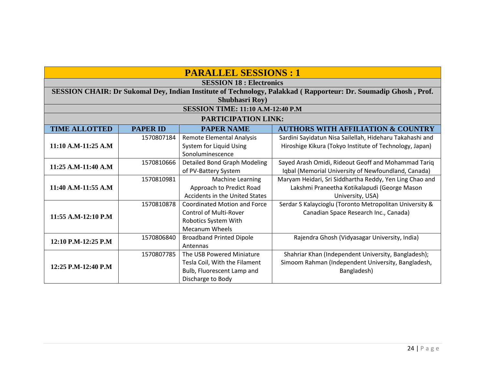| <b>PARALLEL SESSIONS : 1</b>             |                 |                                       |                                                                                                                |
|------------------------------------------|-----------------|---------------------------------------|----------------------------------------------------------------------------------------------------------------|
| <b>SESSION 18 : Electronics</b>          |                 |                                       |                                                                                                                |
|                                          |                 |                                       | SESSION CHAIR: Dr Sukomal Dey, Indian Institute of Technology, Palakkad (Rapporteur: Dr. Soumadip Ghosh, Prof. |
|                                          |                 | <b>Shubhasri Roy</b> )                |                                                                                                                |
| <b>SESSION TIME: 11:10 A.M-12:40 P.M</b> |                 |                                       |                                                                                                                |
|                                          |                 | <b>PARTICIPATION LINK:</b>            |                                                                                                                |
| <b>TIME ALLOTTED</b>                     | <b>PAPER ID</b> | <b>PAPER NAME</b>                     | <b>AUTHORS WITH AFFILIATION &amp; COUNTRY</b>                                                                  |
|                                          | 1570807184      | <b>Remote Elemental Analysis</b>      | Sardini Sayidatun Nisa Sailellah, Hideharu Takahashi and                                                       |
| 11:10 A.M-11:25 A.M                      |                 | System for Liquid Using               | Hiroshige Kikura (Tokyo Institute of Technology, Japan)                                                        |
|                                          |                 | Sonoluminescence                      |                                                                                                                |
| 11:25 A.M-11:40 A.M                      | 1570810666      | Detailed Bond Graph Modeling          | Sayed Arash Omidi, Rideout Geoff and Mohammad Tariq                                                            |
|                                          |                 | of PV-Battery System                  | Iqbal (Memorial University of Newfoundland, Canada)                                                            |
|                                          | 1570810981      | <b>Machine Learning</b>               | Maryam Heidari, Sri Siddhartha Reddy, Yen Ling Chao and                                                        |
| 11:40 A.M-11:55 A.M                      |                 | Approach to Predict Road              | Lakshmi Praneetha Kotikalapudi (George Mason                                                                   |
|                                          |                 | <b>Accidents in the United States</b> | University, USA)                                                                                               |
|                                          | 1570810878      | <b>Coordinated Motion and Force</b>   | Serdar S Kalaycioglu (Toronto Metropolitan University &                                                        |
| 11:55 A.M-12:10 P.M                      |                 | <b>Control of Multi-Rover</b>         | Canadian Space Research Inc., Canada)                                                                          |
|                                          |                 | Robotics System With                  |                                                                                                                |
|                                          |                 | <b>Mecanum Wheels</b>                 |                                                                                                                |
| 12:10 P.M-12:25 P.M                      | 1570806840      | <b>Broadband Printed Dipole</b>       | Rajendra Ghosh (Vidyasagar University, India)                                                                  |
|                                          |                 | Antennas                              |                                                                                                                |
|                                          | 1570807785      | The USB Powered Miniature             | Shahriar Khan (Independent University, Bangladesh);                                                            |
| 12:25 P.M-12:40 P.M                      |                 | Tesla Coil, With the Filament         | Simoom Rahman (Independent University, Bangladesh,                                                             |
|                                          |                 | Bulb, Fluorescent Lamp and            | Bangladesh)                                                                                                    |
|                                          |                 | Discharge to Body                     |                                                                                                                |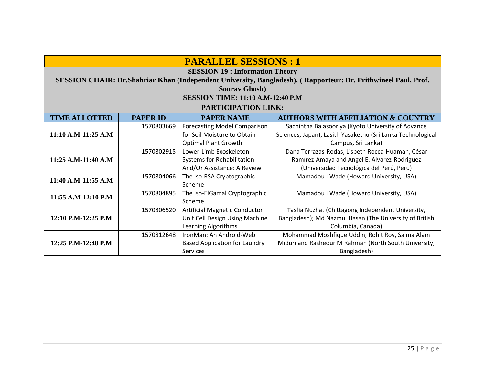| <b>PARALLEL SESSIONS : 1</b>          |                 |                                          |                                                                                                                |
|---------------------------------------|-----------------|------------------------------------------|----------------------------------------------------------------------------------------------------------------|
| <b>SESSION 19: Information Theory</b> |                 |                                          |                                                                                                                |
|                                       |                 |                                          | SESSION CHAIR: Dr.Shahriar Khan (Independent University, Bangladesh), (Rapporteur: Dr. Prithwineel Paul, Prof. |
|                                       |                 | <b>Sourav Ghosh</b> )                    |                                                                                                                |
|                                       |                 | <b>SESSION TIME: 11:10 A.M-12:40 P.M</b> |                                                                                                                |
|                                       |                 | <b>PARTICIPATION LINK:</b>               |                                                                                                                |
| <b>TIME ALLOTTED</b>                  | <b>PAPER ID</b> | <b>PAPER NAME</b>                        | <b>AUTHORS WITH AFFILIATION &amp; COUNTRY</b>                                                                  |
|                                       | 1570803669      | <b>Forecasting Model Comparison</b>      | Sachintha Balasooriya (Kyoto University of Advance                                                             |
| 11:10 A.M-11:25 A.M                   |                 | for Soil Moisture to Obtain              | Sciences, Japan); Lasith Yasakethu (Sri Lanka Technological                                                    |
|                                       |                 | <b>Optimal Plant Growth</b>              | Campus, Sri Lanka)                                                                                             |
|                                       | 1570802915      | Lower-Limb Exoskeleton                   | Dana Terrazas-Rodas, Lisbeth Rocca-Huaman, César                                                               |
| 11:25 A.M-11:40 A.M                   |                 | <b>Systems for Rehabilitation</b>        | Ramírez-Amaya and Angel E. Alvarez-Rodriguez                                                                   |
|                                       |                 | And/Or Assistance: A Review              | (Universidad Tecnológica del Perú, Peru)                                                                       |
| 11:40 A.M-11:55 A.M                   | 1570804066      | The Iso-RSA Cryptographic                | Mamadou I Wade (Howard University, USA)                                                                        |
|                                       |                 | Scheme                                   |                                                                                                                |
| 11:55 A.M-12:10 P.M                   | 1570804895      | The Iso-ElGamal Cryptographic            | Mamadou I Wade (Howard University, USA)                                                                        |
|                                       |                 | Scheme                                   |                                                                                                                |
|                                       | 1570806520      | <b>Artificial Magnetic Conductor</b>     | Tasfia Nuzhat (Chittagong Independent University,                                                              |
| 12:10 P.M-12:25 P.M                   |                 | Unit Cell Design Using Machine           | Bangladesh); Md Nazmul Hasan (The University of British                                                        |
|                                       |                 | Learning Algorithms                      | Columbia, Canada)                                                                                              |
|                                       | 1570812648      | IronMan: An Android-Web                  | Mohammad Moshfique Uddin, Rohit Roy, Saima Alam                                                                |
| 12:25 P.M-12:40 P.M                   |                 | <b>Based Application for Laundry</b>     | Miduri and Rashedur M Rahman (North South University,                                                          |
|                                       |                 | <b>Services</b>                          | Bangladesh)                                                                                                    |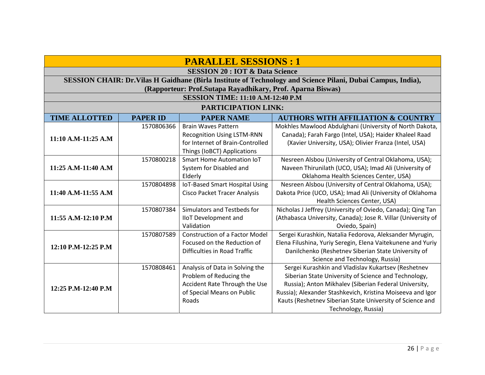| <b>PARALLEL SESSIONS : 1</b>                                                                                                                                               |                 |                                       |                                                               |  |
|----------------------------------------------------------------------------------------------------------------------------------------------------------------------------|-----------------|---------------------------------------|---------------------------------------------------------------|--|
| <b>SESSION 20: IOT &amp; Data Science</b>                                                                                                                                  |                 |                                       |                                                               |  |
| SESSION CHAIR: Dr. Vilas H Gaidhane (Birla Institute of Technology and Science Pilani, Dubai Campus, India),<br>(Rapporteur: Prof.Sutapa Rayadhikary, Prof. Aparna Biswas) |                 |                                       |                                                               |  |
| <b>SESSION TIME: 11:10 A.M-12:40 P.M</b>                                                                                                                                   |                 |                                       |                                                               |  |
|                                                                                                                                                                            |                 | PARTICIPATION LINK:                   |                                                               |  |
| <b>TIME ALLOTTED</b>                                                                                                                                                       | <b>PAPER ID</b> | <b>PAPER NAME</b>                     | <b>AUTHORS WITH AFFILIATION &amp; COUNTRY</b>                 |  |
|                                                                                                                                                                            | 1570806366      | <b>Brain Waves Pattern</b>            | Mokhles Mawlood Abdulghani (University of North Dakota,       |  |
| 11:10 A.M-11:25 A.M                                                                                                                                                        |                 | <b>Recognition Using LSTM-RNN</b>     | Canada); Farah Fargo (Intel, USA); Haider Khaleel Raad        |  |
|                                                                                                                                                                            |                 | for Internet of Brain-Controlled      | (Xavier University, USA); Olivier Franza (Intel, USA)         |  |
|                                                                                                                                                                            |                 | Things (IoBCT) Applications           |                                                               |  |
|                                                                                                                                                                            | 1570800218      | <b>Smart Home Automation IoT</b>      | Nesreen Alsbou (University of Central Oklahoma, USA);         |  |
| $11:25$ A.M-11:40 A.M                                                                                                                                                      |                 | System for Disabled and               | Naveen Thirunilath (UCO, USA); Imad Ali (University of        |  |
|                                                                                                                                                                            |                 | Elderly                               | Oklahoma Health Sciences Center, USA)                         |  |
|                                                                                                                                                                            | 1570804898      | IoT-Based Smart Hospital Using        | Nesreen Alsbou (University of Central Oklahoma, USA);         |  |
| 11:40 A.M-11:55 A.M                                                                                                                                                        |                 | <b>Cisco Packet Tracer Analysis</b>   | Dakota Price (UCO, USA); Imad Ali (University of Oklahoma     |  |
|                                                                                                                                                                            |                 |                                       | Health Sciences Center, USA)                                  |  |
|                                                                                                                                                                            | 1570807384      | Simulators and Testbeds for           | Nicholas J Jeffrey (University of Oviedo, Canada); Qing Tan   |  |
| 11:55 A.M-12:10 P.M                                                                                                                                                        |                 | <b>IIoT</b> Development and           | (Athabasca University, Canada); Jose R. Villar (University of |  |
|                                                                                                                                                                            |                 | Validation                            | Oviedo, Spain)                                                |  |
|                                                                                                                                                                            | 1570807589      | <b>Construction of a Factor Model</b> | Sergei Kurashkin, Natalia Fedorova, Aleksander Myrugin,       |  |
| 12:10 P.M-12:25 P.M                                                                                                                                                        |                 | Focused on the Reduction of           | Elena Filushina, Yuriy Seregin, Elena Vaitekunene and Yuriy   |  |
|                                                                                                                                                                            |                 | Difficulties in Road Traffic          | Danilchenko (Reshetnev Siberian State University of           |  |
|                                                                                                                                                                            |                 |                                       | Science and Technology, Russia)                               |  |
|                                                                                                                                                                            | 1570808461      | Analysis of Data in Solving the       | Sergei Kurashkin and Vladislav Kukartsev (Reshetnev           |  |
|                                                                                                                                                                            |                 | Problem of Reducing the               | Siberian State University of Science and Technology,          |  |
| 12:25 P.M-12:40 P.M                                                                                                                                                        |                 | Accident Rate Through the Use         | Russia); Anton Mikhalev (Siberian Federal University,         |  |
|                                                                                                                                                                            |                 | of Special Means on Public            | Russia); Alexander Stashkevich, Kristina Moiseeva and Igor    |  |
|                                                                                                                                                                            |                 | Roads                                 | Kauts (Reshetnev Siberian State University of Science and     |  |
|                                                                                                                                                                            |                 |                                       | Technology, Russia)                                           |  |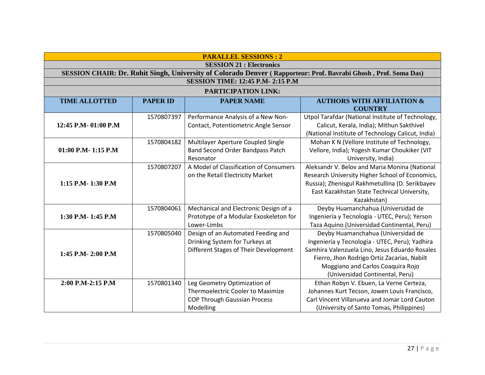| <b>PARALLEL SESSIONS: 2</b>     |                                                                                                                 |                                         |                                                   |  |  |
|---------------------------------|-----------------------------------------------------------------------------------------------------------------|-----------------------------------------|---------------------------------------------------|--|--|
| <b>SESSION 21 : Electronics</b> |                                                                                                                 |                                         |                                                   |  |  |
|                                 | SESSION CHAIR: Dr. Rohit Singh, University of Colorado Denver (Rapporteur: Prof. Bavrabi Ghosh, Prof. Soma Das) |                                         |                                                   |  |  |
|                                 |                                                                                                                 | <b>SESSION TIME: 12:45 P.M-2:15 P.M</b> |                                                   |  |  |
|                                 |                                                                                                                 | <b>PARTICIPATION LINK:</b>              |                                                   |  |  |
| <b>TIME ALLOTTED</b>            | <b>PAPER ID</b>                                                                                                 | <b>PAPER NAME</b>                       | <b>AUTHORS WITH AFFILIATION &amp;</b>             |  |  |
|                                 |                                                                                                                 |                                         | <b>COUNTRY</b>                                    |  |  |
|                                 | 1570807397                                                                                                      | Performance Analysis of a New Non-      | Utpol Tarafdar (National Institute of Technology, |  |  |
| 12:45 P.M-01:00 P.M             |                                                                                                                 | Contact, Potentiometric Angle Sensor    | Calicut, Kerala, India); Mithun Sakthivel         |  |  |
|                                 |                                                                                                                 |                                         | (National Institute of Technology Calicut, India) |  |  |
|                                 | 1570804182                                                                                                      | Multilayer Aperture Coupled Single      | Mohan K N (Vellore Institute of Technology,       |  |  |
| 01:00 P.M-1:15 P.M              |                                                                                                                 | <b>Band Second Order Bandpass Patch</b> | Vellore, India); Yogesh Kumar Choukiker (VIT      |  |  |
|                                 |                                                                                                                 | Resonator                               | University, India)                                |  |  |
|                                 | 1570807207                                                                                                      | A Model of Classification of Consumers  | Aleksandr V. Belov and Maria Monina (National     |  |  |
|                                 |                                                                                                                 | on the Retail Electricity Market        | Research University Higher School of Economics,   |  |  |
| 1:15 P.M-1:30 P.M               |                                                                                                                 |                                         | Russia); Zhenisgul Rakhmetullina (D. Serikbayev   |  |  |
|                                 |                                                                                                                 |                                         | East Kazakhstan State Technical University,       |  |  |
|                                 |                                                                                                                 |                                         | Kazakhstan)                                       |  |  |
|                                 | 1570804061                                                                                                      | Mechanical and Electronic Design of a   | Deyby Huamanchahua (Universidad de                |  |  |
| 1:30 P.M-1:45 P.M               |                                                                                                                 | Prototype of a Modular Exoskeleton for  | Ingeniería y Tecnología - UTEC, Peru); Yerson     |  |  |
|                                 |                                                                                                                 | Lower-Limbs                             | Taza Aquino (Universidad Continental, Peru)       |  |  |
|                                 | 1570805040                                                                                                      | Design of an Automated Feeding and      | Deyby Huamanchahua (Universidad de                |  |  |
|                                 |                                                                                                                 | Drinking System for Turkeys at          | Ingeniería y Tecnología - UTEC, Peru); Yadhira    |  |  |
| 1:45 P.M - 2:00 P.M             |                                                                                                                 | Different Stages of Their Development   | Samhira Valenzuela Lino, Jesus Eduardo Rosales    |  |  |
|                                 |                                                                                                                 |                                         | Fierro, Jhon Rodrigo Ortiz Zacarias, Nabilt       |  |  |
|                                 |                                                                                                                 |                                         | Moggiano and Carlos Coaquira Rojo                 |  |  |
|                                 |                                                                                                                 |                                         | (Universidad Continental, Peru)                   |  |  |
| 2:00 P.M-2:15 P.M               | 1570801340                                                                                                      | Leg Geometry Optimization of            | Ethan Robyn V. Ebuen, La Verne Certeza,           |  |  |
|                                 |                                                                                                                 | Thermoelectric Cooler to Maximize       | Johannes Kurt Tecson, Jowen Louis Francisco,      |  |  |
|                                 |                                                                                                                 | <b>COP Through Gaussian Process</b>     | Carl Vincent Villanueva and Jomar Lord Cauton     |  |  |
|                                 |                                                                                                                 | Modelling                               | (University of Santo Tomas, Philippines)          |  |  |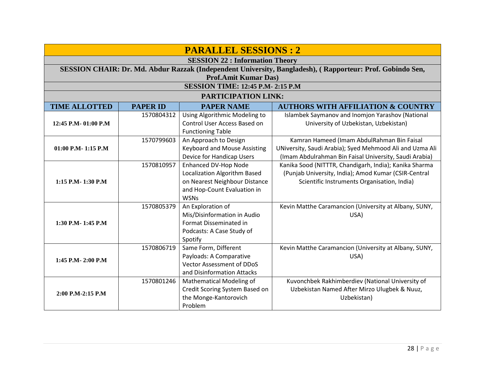| <b>PARALLEL SESSIONS : 2</b>                                                                              |                 |                                                             |                                                                                                                |  |
|-----------------------------------------------------------------------------------------------------------|-----------------|-------------------------------------------------------------|----------------------------------------------------------------------------------------------------------------|--|
| <b>SESSION 22 : Information Theory</b>                                                                    |                 |                                                             |                                                                                                                |  |
| SESSION CHAIR: Dr. Md. Abdur Razzak (Independent University, Bangladesh), (Rapporteur: Prof. Gobindo Sen, |                 |                                                             |                                                                                                                |  |
| <b>Prof.Amit Kumar Das)</b>                                                                               |                 |                                                             |                                                                                                                |  |
|                                                                                                           |                 | <b>SESSION TIME: 12:45 P.M-2:15 P.M</b>                     |                                                                                                                |  |
|                                                                                                           |                 | PARTICIPATION LINK:                                         |                                                                                                                |  |
| <b>TIME ALLOTTED</b>                                                                                      | <b>PAPER ID</b> | <b>PAPER NAME</b>                                           | <b>AUTHORS WITH AFFILIATION &amp; COUNTRY</b>                                                                  |  |
|                                                                                                           | 1570804312      | Using Algorithmic Modeling to                               | Islambek Saymanov and Inomjon Yarashov (National                                                               |  |
| 12:45 P.M-01:00 P.M                                                                                       |                 | Control User Access Based on                                | University of Uzbekistan, Uzbekistan)                                                                          |  |
|                                                                                                           |                 | <b>Functioning Table</b>                                    |                                                                                                                |  |
|                                                                                                           | 1570799603      | An Approach to Design                                       | Kamran Hameed (Imam AbdulRahman Bin Faisal                                                                     |  |
| 01:00 P.M-1:15 P.M                                                                                        |                 | <b>Keyboard and Mouse Assisting</b>                         | UNiversity, Saudi Arabia); Syed Mehmood Ali and Uzma Ali                                                       |  |
|                                                                                                           |                 | Device for Handicap Users                                   | (Imam Abdulrahman Bin Faisal University, Saudi Arabia)                                                         |  |
|                                                                                                           | 1570810957      | <b>Enhanced DV-Hop Node</b><br>Localization Algorithm Based | Kanika Sood (NITTTR, Chandigarh, India); Kanika Sharma<br>(Punjab University, India); Amod Kumar (CSIR-Central |  |
| 1:15 P.M - 1:30 P.M                                                                                       |                 | on Nearest Neighbour Distance                               | Scientific Instruments Organisation, India)                                                                    |  |
|                                                                                                           |                 | and Hop-Count Evaluation in                                 |                                                                                                                |  |
|                                                                                                           |                 | <b>WSNs</b>                                                 |                                                                                                                |  |
|                                                                                                           | 1570805379      | An Exploration of                                           | Kevin Matthe Caramancion (University at Albany, SUNY,                                                          |  |
|                                                                                                           |                 | Mis/Disinformation in Audio                                 | USA)                                                                                                           |  |
| 1:30 P.M - 1:45 P.M                                                                                       |                 | Format Disseminated in                                      |                                                                                                                |  |
|                                                                                                           |                 | Podcasts: A Case Study of                                   |                                                                                                                |  |
|                                                                                                           |                 | Spotify                                                     |                                                                                                                |  |
|                                                                                                           | 1570806719      | Same Form, Different                                        | Kevin Matthe Caramancion (University at Albany, SUNY,                                                          |  |
| $1:45$ P.M $- 2:00$ P.M                                                                                   |                 | Payloads: A Comparative                                     | USA)                                                                                                           |  |
|                                                                                                           |                 | <b>Vector Assessment of DDoS</b>                            |                                                                                                                |  |
|                                                                                                           |                 | and Disinformation Attacks                                  |                                                                                                                |  |
|                                                                                                           | 1570801246      | Mathematical Modeling of                                    | Kuvonchbek Rakhimberdiev (National University of                                                               |  |
| 2:00 P.M-2:15 P.M                                                                                         |                 | Credit Scoring System Based on                              | Uzbekistan Named After Mirzo Ulugbek & Nuuz,                                                                   |  |
|                                                                                                           |                 | the Monge-Kantorovich                                       | Uzbekistan)                                                                                                    |  |
|                                                                                                           |                 | Problem                                                     |                                                                                                                |  |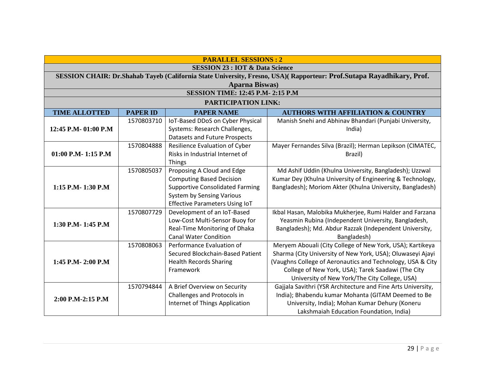| <b>PARALLEL SESSIONS: 2</b>                                                                                          |                        |                                         |                                                              |  |  |  |
|----------------------------------------------------------------------------------------------------------------------|------------------------|-----------------------------------------|--------------------------------------------------------------|--|--|--|
| <b>SESSION 23 : IOT &amp; Data Science</b>                                                                           |                        |                                         |                                                              |  |  |  |
| SESSION CHAIR: Dr.Shahab Tayeb (California State University, Fresno, USA)(Rapporteur: Prof.Sutapa Rayadhikary, Prof. |                        |                                         |                                                              |  |  |  |
|                                                                                                                      | <b>Aparna Biswas</b> ) |                                         |                                                              |  |  |  |
|                                                                                                                      |                        | <b>SESSION TIME: 12:45 P.M-2:15 P.M</b> |                                                              |  |  |  |
|                                                                                                                      |                        | PARTICIPATION LINK:                     |                                                              |  |  |  |
| <b>TIME ALLOTTED</b>                                                                                                 | <b>PAPER ID</b>        | <b>PAPER NAME</b>                       | <b>AUTHORS WITH AFFILIATION &amp; COUNTRY</b>                |  |  |  |
|                                                                                                                      | 1570803710             | IoT-Based DDoS on Cyber Physical        | Manish Snehi and Abhinav Bhandari (Punjabi University,       |  |  |  |
| 12:45 P.M-01:00 P.M                                                                                                  |                        | Systems: Research Challenges,           | India)                                                       |  |  |  |
|                                                                                                                      |                        | Datasets and Future Prospects           |                                                              |  |  |  |
|                                                                                                                      | 1570804888             | Resilience Evaluation of Cyber          | Mayer Fernandes Silva (Brazil); Herman Lepikson (CIMATEC,    |  |  |  |
| 01:00 P.M-1:15 P.M                                                                                                   |                        | Risks in Industrial Internet of         | Brazil)                                                      |  |  |  |
|                                                                                                                      |                        | <b>Things</b>                           |                                                              |  |  |  |
|                                                                                                                      | 1570805037             | Proposing A Cloud and Edge              | Md Ashif Uddin (Khulna University, Bangladesh); Uzzwal       |  |  |  |
|                                                                                                                      |                        | <b>Computing Based Decision</b>         | Kumar Dey (Khulna University of Engineering & Technology,    |  |  |  |
| 1:15 P.M-1:30 P.M                                                                                                    |                        | <b>Supportive Consolidated Farming</b>  | Bangladesh); Moriom Akter (Khulna University, Bangladesh)    |  |  |  |
|                                                                                                                      |                        | <b>System by Sensing Various</b>        |                                                              |  |  |  |
|                                                                                                                      |                        | <b>Effective Parameters Using IoT</b>   |                                                              |  |  |  |
|                                                                                                                      | 1570807729             | Development of an IoT-Based             | Ikbal Hasan, Malobika Mukherjee, Rumi Halder and Farzana     |  |  |  |
| 1:30 P.M-1:45 P.M                                                                                                    |                        | Low-Cost Multi-Sensor Buoy for          | Yeasmin Rubina (Independent University, Bangladesh,          |  |  |  |
|                                                                                                                      |                        | Real-Time Monitoring of Dhaka           | Bangladesh); Md. Abdur Razzak (Independent University,       |  |  |  |
|                                                                                                                      |                        | <b>Canal Water Condition</b>            | Bangladesh)                                                  |  |  |  |
|                                                                                                                      | 1570808063             | Performance Evaluation of               | Meryem Abouali (City College of New York, USA); Kartikeya    |  |  |  |
|                                                                                                                      |                        | Secured Blockchain-Based Patient        | Sharma (City University of New York, USA); Oluwaseyi Ajayi   |  |  |  |
| 1:45 P.M-2:00 P.M                                                                                                    |                        | <b>Health Records Sharing</b>           | (Vaughns College of Aeronautics and Technology, USA & City   |  |  |  |
|                                                                                                                      |                        | Framework                               | College of New York, USA); Tarek Saadawi (The City           |  |  |  |
|                                                                                                                      |                        |                                         | University of New York/The City College, USA)                |  |  |  |
|                                                                                                                      | 1570794844             | A Brief Overview on Security            | Gajjala Savithri (YSR Architecture and Fine Arts University, |  |  |  |
| 2:00 P.M-2:15 P.M                                                                                                    |                        | Challenges and Protocols in             | India); Bhabendu kumar Mohanta (GITAM Deemed to Be           |  |  |  |
|                                                                                                                      |                        | Internet of Things Application          | University, India); Mohan Kumar Dehury (Koneru               |  |  |  |
|                                                                                                                      |                        |                                         | Lakshmaiah Education Foundation, India)                      |  |  |  |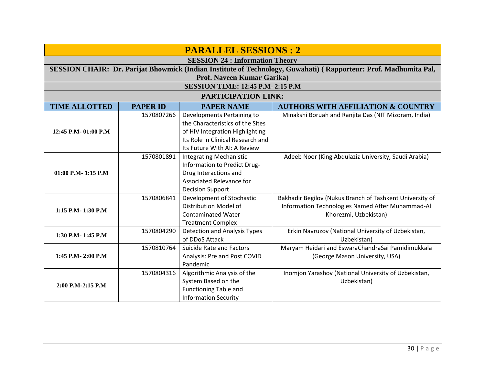| <b>PARALLEL SESSIONS: 2</b>                                                                                      |                                         |                                     |                                                          |  |  |
|------------------------------------------------------------------------------------------------------------------|-----------------------------------------|-------------------------------------|----------------------------------------------------------|--|--|
| <b>SESSION 24 : Information Theory</b>                                                                           |                                         |                                     |                                                          |  |  |
| SESSION CHAIR: Dr. Parijat Bhowmick (Indian Institute of Technology, Guwahati) (Rapporteur: Prof. Madhumita Pal, |                                         |                                     |                                                          |  |  |
| Prof. Naveen Kumar Garika)                                                                                       |                                         |                                     |                                                          |  |  |
|                                                                                                                  | <b>SESSION TIME: 12:45 P.M-2:15 P.M</b> |                                     |                                                          |  |  |
|                                                                                                                  |                                         | PARTICIPATION LINK:                 |                                                          |  |  |
| <b>TIME ALLOTTED</b>                                                                                             | <b>PAPER ID</b>                         | <b>PAPER NAME</b>                   | <b>AUTHORS WITH AFFILIATION &amp; COUNTRY</b>            |  |  |
|                                                                                                                  | 1570807266                              | Developments Pertaining to          | Minakshi Boruah and Ranjita Das (NIT Mizoram, India)     |  |  |
|                                                                                                                  |                                         | the Characteristics of the Sites    |                                                          |  |  |
| 12:45 P.M-01:00 P.M                                                                                              |                                         | of HIV Integration Highlighting     |                                                          |  |  |
|                                                                                                                  |                                         | Its Role in Clinical Research and   |                                                          |  |  |
|                                                                                                                  |                                         | Its Future With AI: A Review        |                                                          |  |  |
|                                                                                                                  | 1570801891                              | <b>Integrating Mechanistic</b>      | Adeeb Noor (King Abdulaziz University, Saudi Arabia)     |  |  |
|                                                                                                                  |                                         | Information to Predict Drug-        |                                                          |  |  |
| $01:00$ P.M- 1:15 P.M                                                                                            |                                         | Drug Interactions and               |                                                          |  |  |
|                                                                                                                  |                                         | Associated Relevance for            |                                                          |  |  |
|                                                                                                                  |                                         | <b>Decision Support</b>             |                                                          |  |  |
|                                                                                                                  | 1570806841                              | Development of Stochastic           | Bakhadir Begilov (Nukus Branch of Tashkent University of |  |  |
| 1:15 P.M - 1:30 P.M                                                                                              |                                         | Distribution Model of               | Information Technologies Named After Muhammad-Al         |  |  |
|                                                                                                                  |                                         | <b>Contaminated Water</b>           | Khorezmi, Uzbekistan)                                    |  |  |
|                                                                                                                  |                                         | <b>Treatment Complex</b>            |                                                          |  |  |
| 1:30 P.M - 1:45 P.M                                                                                              | 1570804290                              | <b>Detection and Analysis Types</b> | Erkin Navruzov (National University of Uzbekistan,       |  |  |
|                                                                                                                  |                                         | of DDoS Attack                      | Uzbekistan)                                              |  |  |
|                                                                                                                  | 1570810764                              | <b>Suicide Rate and Factors</b>     | Maryam Heidari and EswaraChandraSai Pamidimukkala        |  |  |
| 1:45 P.M-2:00 P.M                                                                                                |                                         | Analysis: Pre and Post COVID        | (George Mason University, USA)                           |  |  |
|                                                                                                                  |                                         | Pandemic                            |                                                          |  |  |
|                                                                                                                  | 1570804316                              | Algorithmic Analysis of the         | Inomjon Yarashov (National University of Uzbekistan,     |  |  |
| 2:00 P.M-2:15 P.M                                                                                                |                                         | System Based on the                 | Uzbekistan)                                              |  |  |
|                                                                                                                  |                                         | <b>Functioning Table and</b>        |                                                          |  |  |
|                                                                                                                  |                                         | <b>Information Security</b>         |                                                          |  |  |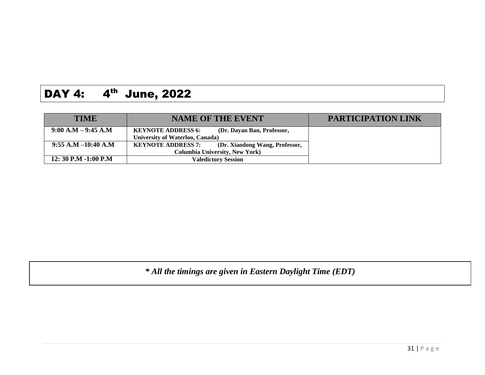### **DAY 4:**  $\overline{4}^{\text{th}}$  June, 2022

| <b>TIME</b>             | <b>NAME OF THE EVENT</b>                                    | <b>PARTICIPATION LINK</b> |
|-------------------------|-------------------------------------------------------------|---------------------------|
| $9:00$ A.M $-9:45$ A.M  | <b>KEYNOTE ADDRESS 6:</b><br>(Dr. Dayan Ban, Professor,     |                           |
|                         | University of Waterloo, Canada)                             |                           |
| $9:55$ A.M $-10:40$ A.M | <b>KEYNOTE ADDRESS 7:</b><br>(Dr. Xiaodong Wang, Professor, |                           |
|                         | <b>Columbia University, New York)</b>                       |                           |
| 12: 30 P.M -1:00 P.M    | <b>Valedictory Session</b>                                  |                           |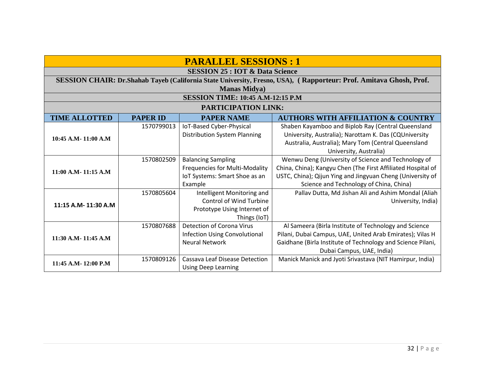| <b>PARALLEL SESSIONS : 1</b>               |                                                                                                                    |                                          |                                                              |  |  |
|--------------------------------------------|--------------------------------------------------------------------------------------------------------------------|------------------------------------------|--------------------------------------------------------------|--|--|
| <b>SESSION 25 : IOT &amp; Data Science</b> |                                                                                                                    |                                          |                                                              |  |  |
|                                            | SESSION CHAIR: Dr.Shahab Tayeb (California State University, Fresno, USA), (Rapporteur: Prof. Amitava Ghosh, Prof. |                                          |                                                              |  |  |
|                                            |                                                                                                                    | <b>Manas Midya</b> )                     |                                                              |  |  |
|                                            |                                                                                                                    | <b>SESSION TIME: 10:45 A.M-12:15 P.M</b> |                                                              |  |  |
|                                            |                                                                                                                    | <b>PARTICIPATION LINK:</b>               |                                                              |  |  |
| <b>TIME ALLOTTED</b>                       | <b>PAPER ID</b>                                                                                                    | <b>PAPER NAME</b>                        | <b>AUTHORS WITH AFFILIATION &amp; COUNTRY</b>                |  |  |
|                                            | 1570799013                                                                                                         | IoT-Based Cyber-Physical                 | Shaben Kayamboo and Biplob Ray (Central Queensland           |  |  |
| $10:45$ A.M $- 11:00$ A.M                  |                                                                                                                    | <b>Distribution System Planning</b>      | University, Australia); Narottam K. Das (CQUniversity        |  |  |
|                                            |                                                                                                                    |                                          | Australia, Australia); Mary Tom (Central Queensland          |  |  |
|                                            |                                                                                                                    |                                          | University, Australia)                                       |  |  |
|                                            | 1570802509                                                                                                         | <b>Balancing Sampling</b>                | Wenwu Deng (University of Science and Technology of          |  |  |
| 11:00 A.M- 11:15 A.M                       |                                                                                                                    | Frequencies for Multi-Modality           | China, China); Kangyu Chen (The First Affiliated Hospital of |  |  |
|                                            |                                                                                                                    | IoT Systems: Smart Shoe as an            | USTC, China); Qijun Ying and Jingyuan Cheng (University of   |  |  |
|                                            |                                                                                                                    | Example                                  | Science and Technology of China, China)                      |  |  |
|                                            | 1570805604                                                                                                         | Intelligent Monitoring and               | Pallav Dutta, Md Jishan Ali and Ashim Mondal (Aliah          |  |  |
| 11:15 A.M- 11:30 A.M                       |                                                                                                                    | <b>Control of Wind Turbine</b>           | University, India)                                           |  |  |
|                                            |                                                                                                                    | Prototype Using Internet of              |                                                              |  |  |
|                                            |                                                                                                                    | Things (IoT)                             |                                                              |  |  |
| 11:30 A.M-11:45 A.M                        | 1570807688                                                                                                         | <b>Detection of Corona Virus</b>         | Al Sameera (Birla Institute of Technology and Science        |  |  |
|                                            |                                                                                                                    | <b>Infection Using Convolutional</b>     | Pilani, Dubai Campus, UAE, United Arab Emirates); Vilas H    |  |  |
|                                            |                                                                                                                    | <b>Neural Network</b>                    | Gaidhane (Birla Institute of Technology and Science Pilani,  |  |  |
|                                            |                                                                                                                    |                                          | Dubai Campus, UAE, India)                                    |  |  |
| 11:45 A.M-12:00 P.M                        | 1570809126                                                                                                         | <b>Cassava Leaf Disease Detection</b>    | Manick Manick and Jyoti Srivastava (NIT Hamirpur, India)     |  |  |
|                                            |                                                                                                                    | <b>Using Deep Learning</b>               |                                                              |  |  |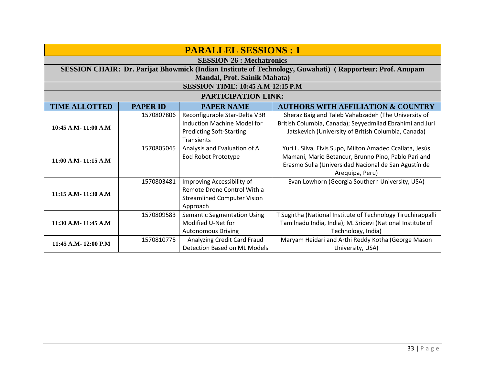| <b>PARALLEL SESSIONS : 1</b>                                                                                  |            |                                          |                                                                                                                 |  |
|---------------------------------------------------------------------------------------------------------------|------------|------------------------------------------|-----------------------------------------------------------------------------------------------------------------|--|
| <b>SESSION 26 : Mechatronics</b>                                                                              |            |                                          |                                                                                                                 |  |
| SESSION CHAIR: Dr. Parijat Bhowmick (Indian Institute of Technology, Guwahati) (Rapporteur: Prof. Anupam      |            |                                          |                                                                                                                 |  |
| <b>Mandal, Prof. Sainik Mahata)</b>                                                                           |            |                                          |                                                                                                                 |  |
|                                                                                                               |            | <b>SESSION TIME: 10:45 A.M-12:15 P.M</b> |                                                                                                                 |  |
|                                                                                                               |            | PARTICIPATION LINK:                      |                                                                                                                 |  |
| <b>TIME ALLOTTED</b><br><b>AUTHORS WITH AFFILIATION &amp; COUNTRY</b><br><b>PAPER ID</b><br><b>PAPER NAME</b> |            |                                          |                                                                                                                 |  |
|                                                                                                               | 1570807806 | Reconfigurable Star-Delta VBR            | Sheraz Baig and Taleb Vahabzadeh (The University of                                                             |  |
| 10:45 A.M-11:00 A.M                                                                                           |            | Induction Machine Model for              | British Columbia, Canada); Seyyedmilad Ebrahimi and Juri                                                        |  |
|                                                                                                               |            | <b>Predicting Soft-Starting</b>          | Jatskevich (University of British Columbia, Canada)                                                             |  |
|                                                                                                               |            | Transients                               |                                                                                                                 |  |
| 11:00 A.M - 11:15 A.M                                                                                         | 1570805045 | Analysis and Evaluation of A             | Yuri L. Silva, Elvis Supo, Milton Amadeo Ccallata, Jesús<br>Mamani, Mario Betancur, Brunno Pino, Pablo Pari and |  |
|                                                                                                               |            | Eod Robot Prototype                      | Erasmo Sulla (Universidad Nacional de San Agustín de                                                            |  |
|                                                                                                               |            |                                          | Arequipa, Peru)                                                                                                 |  |
|                                                                                                               | 1570803481 | Improving Accessibility of               | Evan Lowhorn (Georgia Southern University, USA)                                                                 |  |
| 11:15 A.M-11:30 A.M                                                                                           |            | Remote Drone Control With a              |                                                                                                                 |  |
|                                                                                                               |            | <b>Streamlined Computer Vision</b>       |                                                                                                                 |  |
|                                                                                                               |            | Approach                                 |                                                                                                                 |  |
| 11:30 A.M-11:45 A.M                                                                                           | 1570809583 | <b>Semantic Segmentation Using</b>       | T Sugirtha (National Institute of Technology Tiruchirappalli                                                    |  |
|                                                                                                               |            | Modified U-Net for                       | Tamilnadu India, India); M. Sridevi (National Institute of                                                      |  |
|                                                                                                               |            | <b>Autonomous Driving</b>                | Technology, India)                                                                                              |  |
| 11:45 A.M-12:00 P.M                                                                                           | 1570810775 | Analyzing Credit Card Fraud              | Maryam Heidari and Arthi Reddy Kotha (George Mason                                                              |  |
|                                                                                                               |            | Detection Based on ML Models             | University, USA)                                                                                                |  |